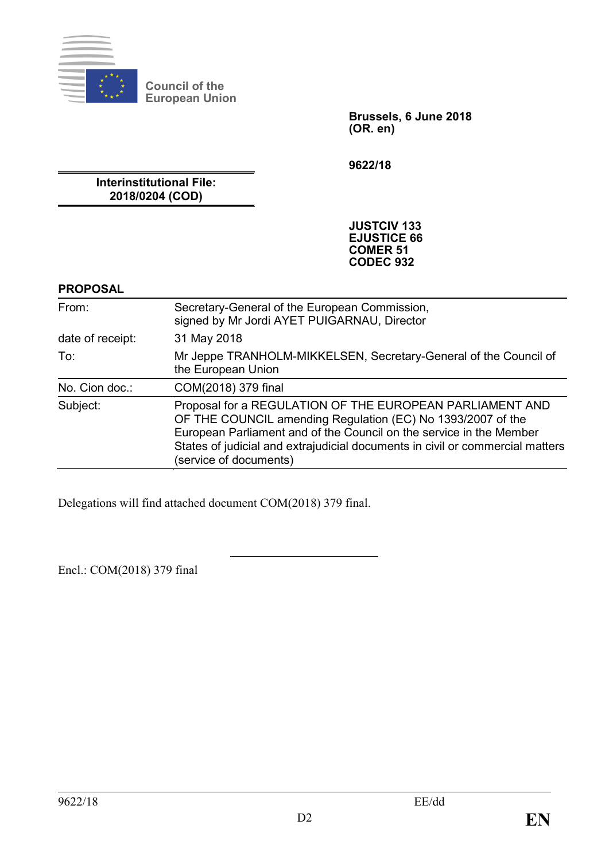

**Council of the European Union**

> **Brussels, 6 June 2018 (OR. en)**

**9622/18**

**Interinstitutional File: 2018/0204 (COD)**

> **JUSTCIV 133 EJUSTICE 66 COMER 51 CODEC 932**

### **PROPOSAL**

| From:            | Secretary-General of the European Commission,<br>signed by Mr Jordi AYET PUIGARNAU, Director                                                                                                                                                                                                              |  |  |
|------------------|-----------------------------------------------------------------------------------------------------------------------------------------------------------------------------------------------------------------------------------------------------------------------------------------------------------|--|--|
| date of receipt: | 31 May 2018                                                                                                                                                                                                                                                                                               |  |  |
| To:              | Mr Jeppe TRANHOLM-MIKKELSEN, Secretary-General of the Council of<br>the European Union                                                                                                                                                                                                                    |  |  |
| No. Cion doc.:   | COM(2018) 379 final                                                                                                                                                                                                                                                                                       |  |  |
| Subject:         | Proposal for a REGULATION OF THE EUROPEAN PARLIAMENT AND<br>OF THE COUNCIL amending Regulation (EC) No 1393/2007 of the<br>European Parliament and of the Council on the service in the Member<br>States of judicial and extrajudicial documents in civil or commercial matters<br>(service of documents) |  |  |

Delegations will find attached document COM(2018) 379 final.

Encl.: COM(2018) 379 final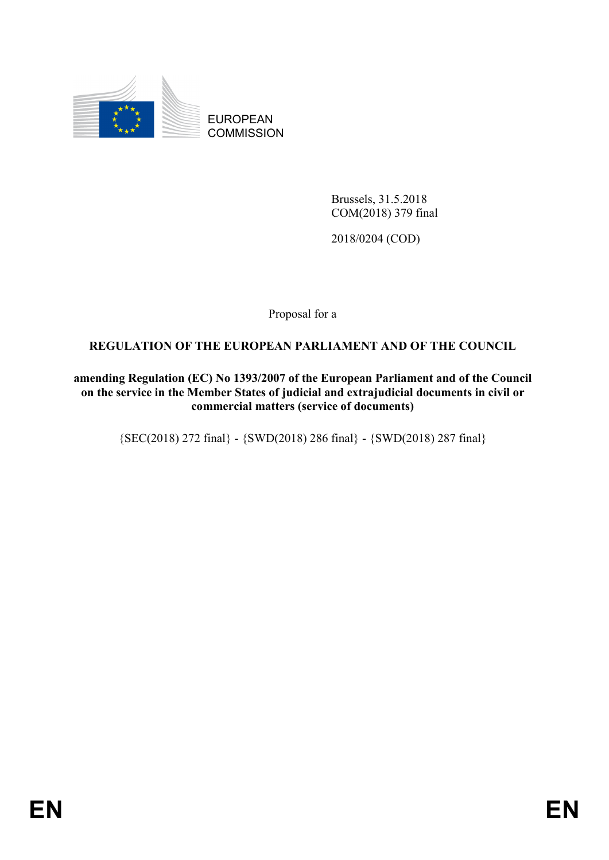

EUROPEAN **COMMISSION** 

> Brussels, 31.5.2018 COM(2018) 379 final

2018/0204 (COD)

Proposal for a

# **REGULATION OF THE EUROPEAN PARLIAMENT AND OF THE COUNCIL**

**amending Regulation (EC) No 1393/2007 of the European Parliament and of the Council on the service in the Member States of judicial and extrajudicial documents in civil or commercial matters (service of documents)**

{SEC(2018) 272 final} - {SWD(2018) 286 final} - {SWD(2018) 287 final}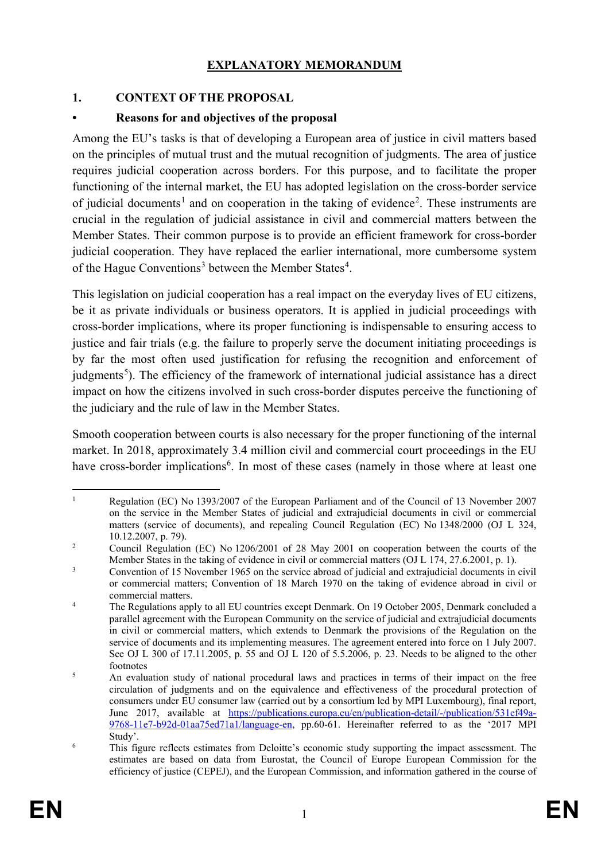### **EXPLANATORY MEMORANDUM**

### **1. CONTEXT OF THE PROPOSAL**

### **• Reasons for and objectives of the proposal**

Among the EU's tasks is that of developing a European area of justice in civil matters based on the principles of mutual trust and the mutual recognition of judgments. The area of justice requires judicial cooperation across borders. For this purpose, and to facilitate the proper functioning of the internal market, the EU has adopted legislation on the cross-border service of judicial documents<sup>[1](#page-2-0)</sup> and on cooperation in the taking of evidence<sup>[2](#page-2-1)</sup>. These instruments are crucial in the regulation of judicial assistance in civil and commercial matters between the Member States. Their common purpose is to provide an efficient framework for cross-border judicial cooperation. They have replaced the earlier international, more cumbersome system of the Hague Conventions<sup>[3](#page-2-2)</sup> between the Member States<sup>[4](#page-2-3)</sup>.

This legislation on judicial cooperation has a real impact on the everyday lives of EU citizens, be it as private individuals or business operators. It is applied in judicial proceedings with cross-border implications, where its proper functioning is indispensable to ensuring access to justice and fair trials (e.g. the failure to properly serve the document initiating proceedings is by far the most often used justification for refusing the recognition and enforcement of judgments<sup>[5](#page-2-4)</sup>). The efficiency of the framework of international judicial assistance has a direct impact on how the citizens involved in such cross-border disputes perceive the functioning of the judiciary and the rule of law in the Member States.

Smooth cooperation between courts is also necessary for the proper functioning of the internal market. In 2018, approximately 3.4 million civil and commercial court proceedings in the EU have cross-border implications<sup>[6](#page-2-5)</sup>. In most of these cases (namely in those where at least one

<span id="page-2-0"></span><sup>&</sup>lt;sup>1</sup> Regulation (EC) No 1393/2007 of the European Parliament and of the Council of 13 November 2007 on the service in the Member States of judicial and extrajudicial documents in civil or commercial matters (service of documents), and repealing Council Regulation (EC) No 1348/2000 (OJ L 324, 10.12.2007, p. 79).

<span id="page-2-1"></span><sup>&</sup>lt;sup>2</sup> Council Regulation (EC) No 1206/2001 of 28 May 2001 on cooperation between the courts of the Member States in the taking of evidence in civil or commercial matters (OJ L 174, 27.6.2001, p. 1).

<span id="page-2-2"></span><sup>&</sup>lt;sup>3</sup> Convention of 15 November 1965 on the service abroad of judicial and extrajudicial documents in civil or commercial matters; Convention of 18 March 1970 on the taking of evidence abroad in civil or commercial matters.

<span id="page-2-3"></span><sup>&</sup>lt;sup>4</sup> The Regulations apply to all EU countries except Denmark. On 19 October 2005, Denmark concluded a parallel agreement with the European Community on the service of judicial and extrajudicial documents in civil or commercial matters, which extends to Denmark the provisions of the Regulation on the service of documents and its implementing measures. The agreement entered into force on 1 July 2007. See OJ L 300 of 17.11.2005, p. 55 and OJ L 120 of 5.5.2006, p. 23. Needs to be aligned to the other footnotes

<span id="page-2-4"></span><sup>&</sup>lt;sup>5</sup> An evaluation study of national procedural laws and practices in terms of their impact on the free circulation of judgments and on the equivalence and effectiveness of the procedural protection of consumers under EU consumer law (carried out by a consortium led by MPI Luxembourg), final report, June 2017, available at [https://publications.europa.eu/en/publication-detail/-/publication/531ef49a-](https://publications.europa.eu/en/publication-detail/-/publication/531ef49a-9768-11e7-b92d-01aa75ed71a1/language-en)[9768-11e7-b92d-01aa75ed71a1/language-en,](https://publications.europa.eu/en/publication-detail/-/publication/531ef49a-9768-11e7-b92d-01aa75ed71a1/language-en) pp.60-61. Hereinafter referred to as the '2017 MPI Study'.

<span id="page-2-5"></span><sup>6</sup> This figure reflects estimates from Deloitte's economic study supporting the impact assessment. The estimates are based on data from Eurostat, the Council of Europe European Commission for the efficiency of justice (CEPEJ), and the European Commission, and information gathered in the course of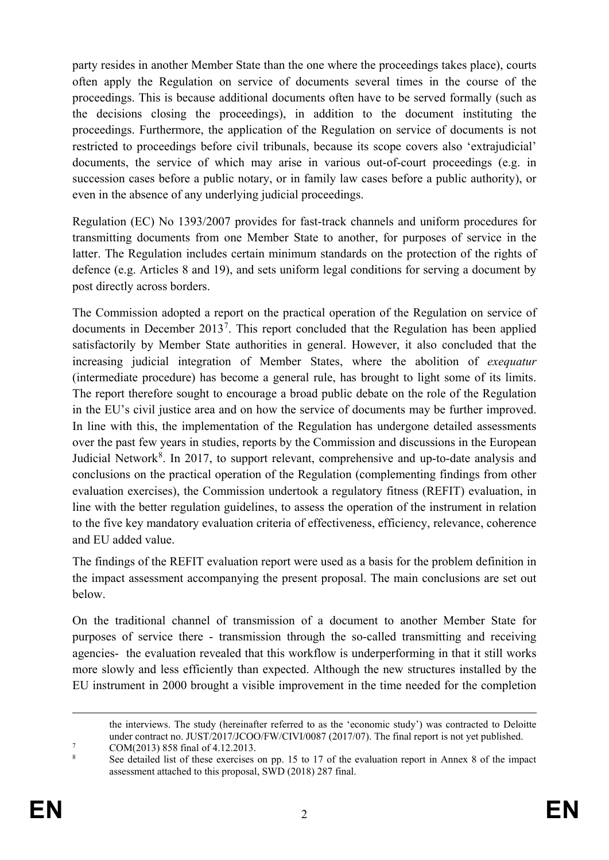party resides in another Member State than the one where the proceedings takes place), courts often apply the Regulation on service of documents several times in the course of the proceedings. This is because additional documents often have to be served formally (such as the decisions closing the proceedings), in addition to the document instituting the proceedings. Furthermore, the application of the Regulation on service of documents is not restricted to proceedings before civil tribunals, because its scope covers also 'extrajudicial' documents, the service of which may arise in various out-of-court proceedings (e.g. in succession cases before a public notary, or in family law cases before a public authority), or even in the absence of any underlying judicial proceedings.

Regulation (EC) No 1393/2007 provides for fast-track channels and uniform procedures for transmitting documents from one Member State to another, for purposes of service in the latter. The Regulation includes certain minimum standards on the protection of the rights of defence (e.g. Articles 8 and 19), and sets uniform legal conditions for serving a document by post directly across borders.

The Commission adopted a report on the practical operation of the Regulation on service of documents in December 2013<sup>[7](#page-3-0)</sup>. This report concluded that the Regulation has been applied satisfactorily by Member State authorities in general. However, it also concluded that the increasing judicial integration of Member States, where the abolition of *exequatur* (intermediate procedure) has become a general rule, has brought to light some of its limits. The report therefore sought to encourage a broad public debate on the role of the Regulation in the EU's civil justice area and on how the service of documents may be further improved. In line with this, the implementation of the Regulation has undergone detailed assessments over the past few years in studies, reports by the Commission and discussions in the European Judicial Network<sup>[8](#page-3-1)</sup>. In 2017, to support relevant, comprehensive and up-to-date analysis and conclusions on the practical operation of the Regulation (complementing findings from other evaluation exercises), the Commission undertook a regulatory fitness (REFIT) evaluation, in line with the better regulation guidelines, to assess the operation of the instrument in relation to the five key mandatory evaluation criteria of effectiveness, efficiency, relevance, coherence and EU added value.

The findings of the REFIT evaluation report were used as a basis for the problem definition in the impact assessment accompanying the present proposal. The main conclusions are set out below.

On the traditional channel of transmission of a document to another Member State for purposes of service there - transmission through the so-called transmitting and receiving agencies- the evaluation revealed that this workflow is underperforming in that it still works more slowly and less efficiently than expected. Although the new structures installed by the EU instrument in 2000 brought a visible improvement in the time needed for the completion

the interviews. The study (hereinafter referred to as the 'economic study') was contracted to Deloitte under contract no. JUST/2017/JCOO/FW/CIVI/0087 (2017/07). The final report is not yet published.<br>
COM(2013) 858 final of 4.12.2013.<br>
<sup>8</sup>

<span id="page-3-1"></span><span id="page-3-0"></span><sup>8</sup> See detailed list of these exercises on pp. 15 to 17 of the evaluation report in Annex 8 of the impact assessment attached to this proposal, SWD (2018) 287 final.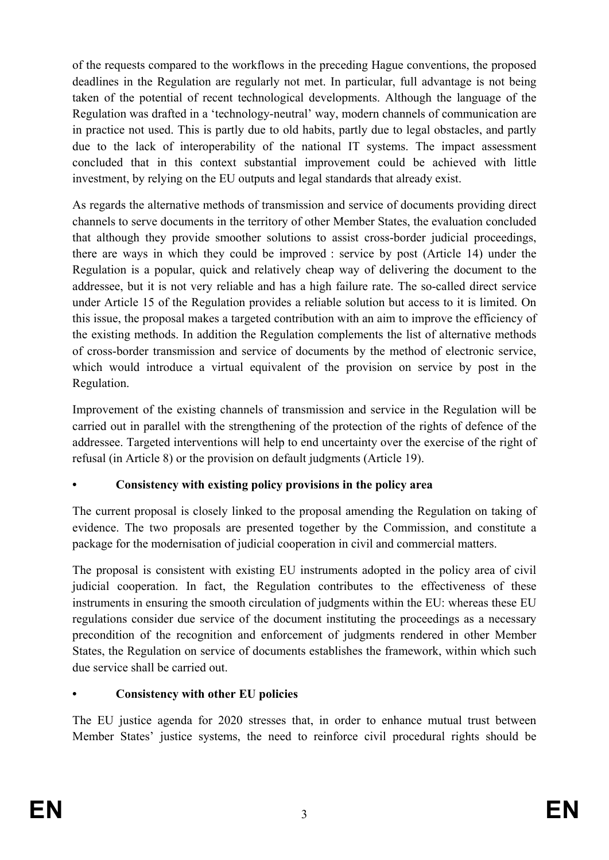of the requests compared to the workflows in the preceding Hague conventions, the proposed deadlines in the Regulation are regularly not met. In particular, full advantage is not being taken of the potential of recent technological developments. Although the language of the Regulation was drafted in a 'technology-neutral' way, modern channels of communication are in practice not used. This is partly due to old habits, partly due to legal obstacles, and partly due to the lack of interoperability of the national IT systems. The impact assessment concluded that in this context substantial improvement could be achieved with little investment, by relying on the EU outputs and legal standards that already exist.

As regards the alternative methods of transmission and service of documents providing direct channels to serve documents in the territory of other Member States, the evaluation concluded that although they provide smoother solutions to assist cross-border judicial proceedings, there are ways in which they could be improved : service by post (Article 14) under the Regulation is a popular, quick and relatively cheap way of delivering the document to the addressee, but it is not very reliable and has a high failure rate. The so-called direct service under Article 15 of the Regulation provides a reliable solution but access to it is limited. On this issue, the proposal makes a targeted contribution with an aim to improve the efficiency of the existing methods. In addition the Regulation complements the list of alternative methods of cross-border transmission and service of documents by the method of electronic service, which would introduce a virtual equivalent of the provision on service by post in the Regulation.

Improvement of the existing channels of transmission and service in the Regulation will be carried out in parallel with the strengthening of the protection of the rights of defence of the addressee. Targeted interventions will help to end uncertainty over the exercise of the right of refusal (in Article 8) or the provision on default judgments (Article 19).

# **• Consistency with existing policy provisions in the policy area**

The current proposal is closely linked to the proposal amending the Regulation on taking of evidence. The two proposals are presented together by the Commission, and constitute a package for the modernisation of judicial cooperation in civil and commercial matters.

The proposal is consistent with existing EU instruments adopted in the policy area of civil judicial cooperation. In fact, the Regulation contributes to the effectiveness of these instruments in ensuring the smooth circulation of judgments within the EU: whereas these EU regulations consider due service of the document instituting the proceedings as a necessary precondition of the recognition and enforcement of judgments rendered in other Member States, the Regulation on service of documents establishes the framework, within which such due service shall be carried out.

# **• Consistency with other EU policies**

The EU justice agenda for 2020 stresses that, in order to enhance mutual trust between Member States' justice systems, the need to reinforce civil procedural rights should be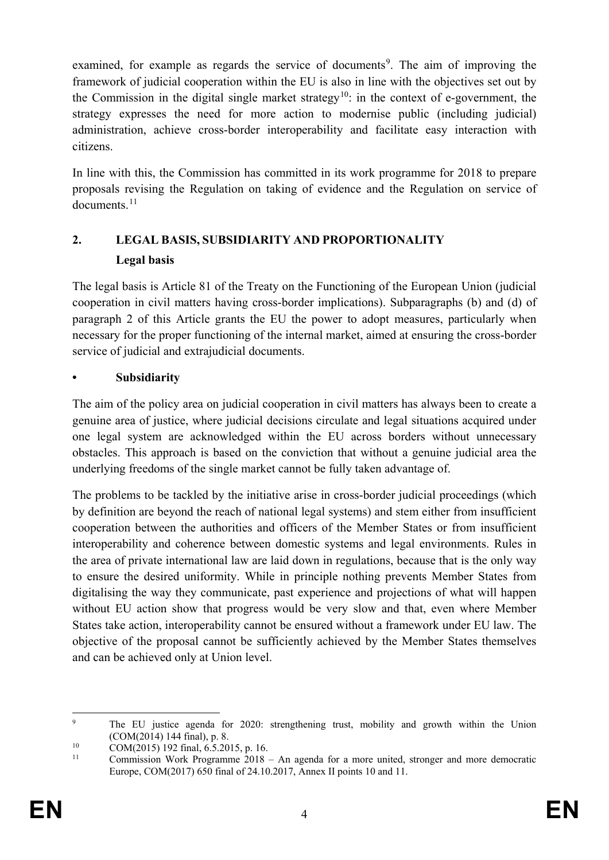examined, for example as regards the service of documents<sup>[9](#page-5-0)</sup>. The aim of improving the framework of judicial cooperation within the EU is also in line with the objectives set out by the Commission in the digital single market strategy<sup>10</sup>: in the context of e-government, the strategy expresses the need for more action to modernise public (including judicial) administration, achieve cross-border interoperability and facilitate easy interaction with citizens.

In line with this, the Commission has committed in its work programme for 2018 to prepare proposals revising the Regulation on taking of evidence and the Regulation on service of documents<sup>[11](#page-5-2)</sup>

# **2. LEGAL BASIS, SUBSIDIARITY AND PROPORTIONALITY Legal basis**

The legal basis is Article 81 of the Treaty on the Functioning of the European Union (judicial cooperation in civil matters having cross-border implications). Subparagraphs (b) and (d) of paragraph 2 of this Article grants the EU the power to adopt measures, particularly when necessary for the proper functioning of the internal market, aimed at ensuring the cross-border service of judicial and extrajudicial documents.

# **• Subsidiarity**

The aim of the policy area on judicial cooperation in civil matters has always been to create a genuine area of justice, where judicial decisions circulate and legal situations acquired under one legal system are acknowledged within the EU across borders without unnecessary obstacles. This approach is based on the conviction that without a genuine judicial area the underlying freedoms of the single market cannot be fully taken advantage of.

The problems to be tackled by the initiative arise in cross-border judicial proceedings (which by definition are beyond the reach of national legal systems) and stem either from insufficient cooperation between the authorities and officers of the Member States or from insufficient interoperability and coherence between domestic systems and legal environments. Rules in the area of private international law are laid down in regulations, because that is the only way to ensure the desired uniformity. While in principle nothing prevents Member States from digitalising the way they communicate, past experience and projections of what will happen without EU action show that progress would be very slow and that, even where Member States take action, interoperability cannot be ensured without a framework under EU law. The objective of the proposal cannot be sufficiently achieved by the Member States themselves and can be achieved only at Union level.

<span id="page-5-0"></span> <sup>9</sup> The EU justice agenda for 2020: strengthening trust, mobility and growth within the Union (COM(2014) 144 final), p. 8.

<span id="page-5-1"></span><sup>&</sup>lt;sup>10</sup> COM(2015) 192 final, 6.5.2015, p. 16.

<span id="page-5-2"></span> $11$  Commission Work Programme 2018 – An agenda for a more united, stronger and more democratic Europe, COM(2017) 650 final of 24.10.2017, Annex II points 10 and 11.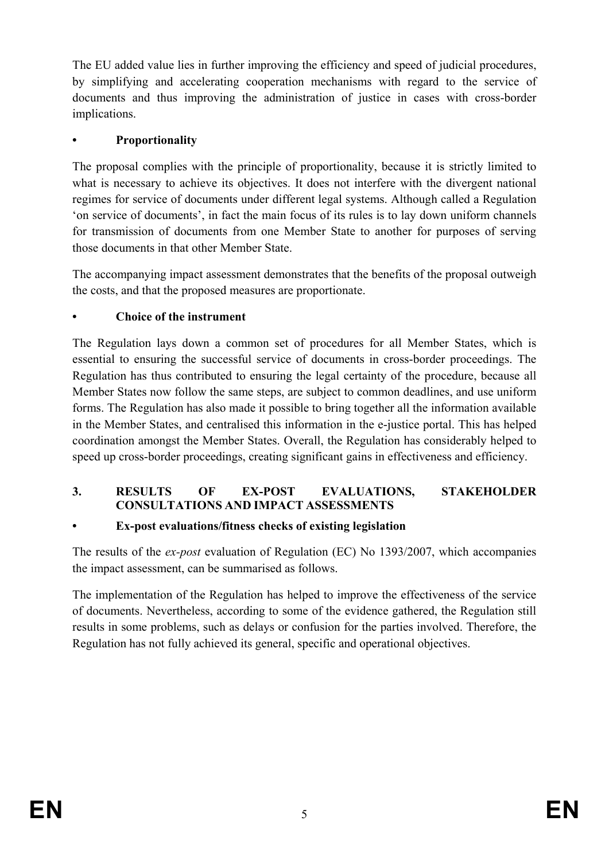The EU added value lies in further improving the efficiency and speed of judicial procedures, by simplifying and accelerating cooperation mechanisms with regard to the service of documents and thus improving the administration of justice in cases with cross-border implications.

# **• Proportionality**

The proposal complies with the principle of proportionality, because it is strictly limited to what is necessary to achieve its objectives. It does not interfere with the divergent national regimes for service of documents under different legal systems. Although called a Regulation 'on service of documents', in fact the main focus of its rules is to lay down uniform channels for transmission of documents from one Member State to another for purposes of serving those documents in that other Member State.

The accompanying impact assessment demonstrates that the benefits of the proposal outweigh the costs, and that the proposed measures are proportionate.

# **• Choice of the instrument**

The Regulation lays down a common set of procedures for all Member States, which is essential to ensuring the successful service of documents in cross-border proceedings. The Regulation has thus contributed to ensuring the legal certainty of the procedure, because all Member States now follow the same steps, are subject to common deadlines, and use uniform forms. The Regulation has also made it possible to bring together all the information available in the Member States, and centralised this information in the e-justice portal. This has helped coordination amongst the Member States. Overall, the Regulation has considerably helped to speed up cross-border proceedings, creating significant gains in effectiveness and efficiency.

### **3. RESULTS OF EX-POST EVALUATIONS, STAKEHOLDER CONSULTATIONS AND IMPACT ASSESSMENTS**

# **• Ex-post evaluations/fitness checks of existing legislation**

The results of the *ex-post* evaluation of Regulation (EC) No 1393/2007, which accompanies the impact assessment, can be summarised as follows.

The implementation of the Regulation has helped to improve the effectiveness of the service of documents. Nevertheless, according to some of the evidence gathered, the Regulation still results in some problems, such as delays or confusion for the parties involved. Therefore, the Regulation has not fully achieved its general, specific and operational objectives.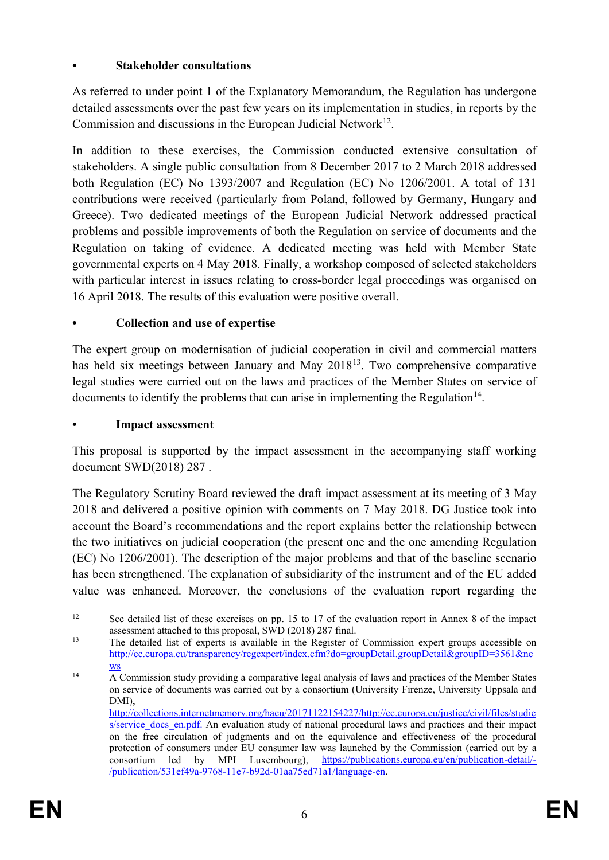# **• Stakeholder consultations**

As referred to under point 1 of the Explanatory Memorandum, the Regulation has undergone detailed assessments over the past few years on its implementation in studies, in reports by the Commission and discussions in the European Judicial Network<sup>[12](#page-7-0)</sup>.

In addition to these exercises, the Commission conducted extensive consultation of stakeholders. A single public consultation from 8 December 2017 to 2 March 2018 addressed both Regulation (EC) No 1393/2007 and Regulation (EC) No 1206/2001. A total of 131 contributions were received (particularly from Poland, followed by Germany, Hungary and Greece). Two dedicated meetings of the European Judicial Network addressed practical problems and possible improvements of both the Regulation on service of documents and the Regulation on taking of evidence. A dedicated meeting was held with Member State governmental experts on 4 May 2018. Finally, a workshop composed of selected stakeholders with particular interest in issues relating to cross-border legal proceedings was organised on 16 April 2018. The results of this evaluation were positive overall.

# **• Collection and use of expertise**

The expert group on modernisation of judicial cooperation in civil and commercial matters has held six meetings between January and May  $2018^{13}$ . Two comprehensive comparative legal studies were carried out on the laws and practices of the Member States on service of documents to identify the problems that can arise in implementing the Regulation<sup>[14](#page-7-2)</sup>.

### **• Impact assessment**

This proposal is supported by the impact assessment in the accompanying staff working document SWD(2018) 287 .

The Regulatory Scrutiny Board reviewed the draft impact assessment at its meeting of 3 May 2018 and delivered a positive opinion with comments on 7 May 2018. DG Justice took into account the Board's recommendations and the report explains better the relationship between the two initiatives on judicial cooperation (the present one and the one amending Regulation (EC) No 1206/2001). The description of the major problems and that of the baseline scenario has been strengthened. The explanation of subsidiarity of the instrument and of the EU added value was enhanced. Moreover, the conclusions of the evaluation report regarding the

<span id="page-7-0"></span><sup>&</sup>lt;sup>12</sup> See detailed list of these exercises on pp. 15 to 17 of the evaluation report in Annex 8 of the impact assessment attached to this proposal, SWD (2018) 287 final.

<span id="page-7-1"></span><sup>&</sup>lt;sup>13</sup> The detailed list of experts is available in the Register of Commission expert groups accessible on [http://ec.europa.eu/transparency/regexpert/index.cfm?do=groupDetail.groupDetail&groupID=3561&ne](http://ec.europa.eu/transparency/regexpert/index.cfm?do=groupDetail.groupDetail&groupID=3561&news) [ws](http://ec.europa.eu/transparency/regexpert/index.cfm?do=groupDetail.groupDetail&groupID=3561&news)

<span id="page-7-2"></span> $\frac{14}{\text{A}}$  Commission study providing a comparative legal analysis of laws and practices of the Member States on service of documents was carried out by a consortium (University Firenze, University Uppsala and DMI), [http://collections.internetmemory.org/haeu/20171122154227/http://ec.europa.eu/justice/civil/files/studie](http://collections.internetmemory.org/haeu/20171122154227/http:/ec.europa.eu/justice/civil/files/studies/service_docs_en.pdf) s/service docs en.pdf. An evaluation study of national procedural laws and practices and their impact on the free circulation of judgments and on the equivalence and effectiveness of the procedural protection of consumers under EU consumer law was launched by the Commission (carried out by a consortium led by MPI Luxembourg), [https://publications.europa.eu/en/publication-detail/-](https://publications.europa.eu/en/publication-detail/-/publication/531ef49a-9768-11e7-b92d-01aa75ed71a1/language-en) [/publication/531ef49a-9768-11e7-b92d-01aa75ed71a1/language-en.](https://publications.europa.eu/en/publication-detail/-/publication/531ef49a-9768-11e7-b92d-01aa75ed71a1/language-en)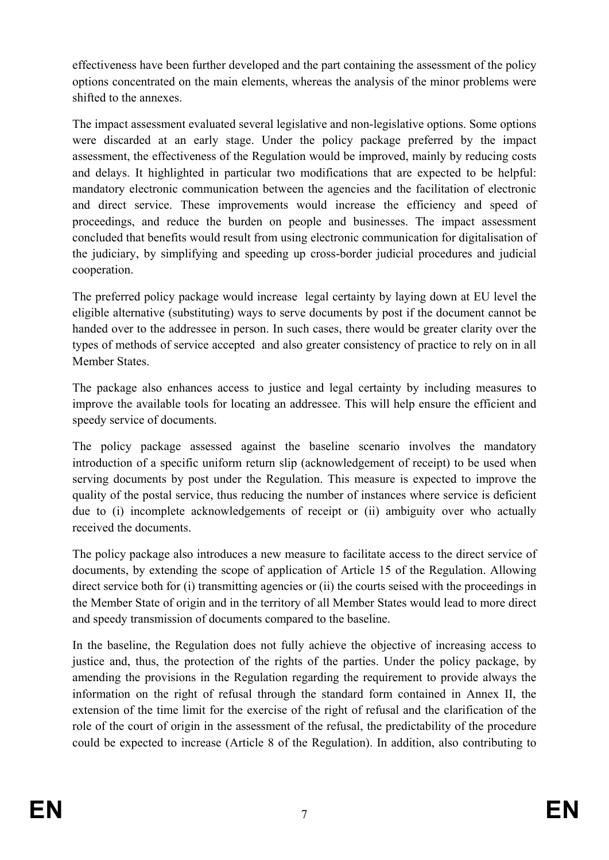effectiveness have been further developed and the part containing the assessment of the policy options concentrated on the main elements, whereas the analysis of the minor problems were shifted to the annexes.

The impact assessment evaluated several legislative and non-legislative options. Some options were discarded at an early stage. Under the policy package preferred by the impact assessment, the effectiveness of the Regulation would be improved, mainly by reducing costs and delays. It highlighted in particular two modifications that are expected to be helpful: mandatory electronic communication between the agencies and the facilitation of electronic and direct service. These improvements would increase the efficiency and speed of proceedings, and reduce the burden on people and businesses. The impact assessment concluded that benefits would result from using electronic communication for digitalisation of the judiciary, by simplifying and speeding up cross-border judicial procedures and judicial cooperation.

The preferred policy package would increase legal certainty by laying down at EU level the eligible alternative (substituting) ways to serve documents by post if the document cannot be handed over to the addressee in person. In such cases, there would be greater clarity over the types of methods of service accepted and also greater consistency of practice to rely on in all Member States.

The package also enhances access to justice and legal certainty by including measures to improve the available tools for locating an addressee. This will help ensure the efficient and speedy service of documents.

The policy package assessed against the baseline scenario involves the mandatory introduction of a specific uniform return slip (acknowledgement of receipt) to be used when serving documents by post under the Regulation. This measure is expected to improve the quality of the postal service, thus reducing the number of instances where service is deficient due to (i) incomplete acknowledgements of receipt or (ii) ambiguity over who actually received the documents.

The policy package also introduces a new measure to facilitate access to the direct service of documents, by extending the scope of application of Article 15 of the Regulation. Allowing direct service both for (i) transmitting agencies or (ii) the courts seised with the proceedings in the Member State of origin and in the territory of all Member States would lead to more direct and speedy transmission of documents compared to the baseline.

In the baseline, the Regulation does not fully achieve the objective of increasing access to justice and, thus, the protection of the rights of the parties. Under the policy package, by amending the provisions in the Regulation regarding the requirement to provide always the information on the right of refusal through the standard form contained in Annex II, the extension of the time limit for the exercise of the right of refusal and the clarification of the role of the court of origin in the assessment of the refusal, the predictability of the procedure could be expected to increase (Article 8 of the Regulation). In addition, also contributing to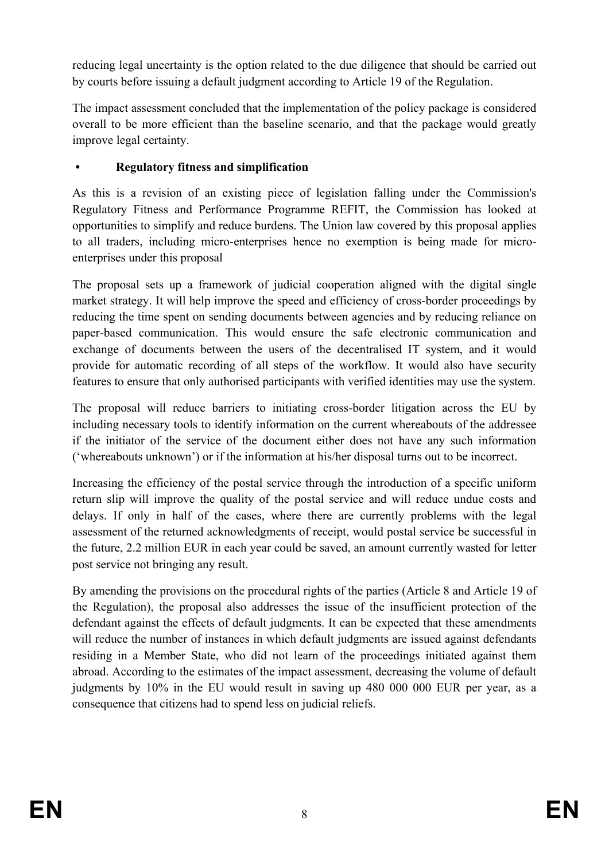reducing legal uncertainty is the option related to the due diligence that should be carried out by courts before issuing a default judgment according to Article 19 of the Regulation.

The impact assessment concluded that the implementation of the policy package is considered overall to be more efficient than the baseline scenario, and that the package would greatly improve legal certainty.

# **• Regulatory fitness and simplification**

As this is a revision of an existing piece of legislation falling under the Commission's Regulatory Fitness and Performance Programme REFIT, the Commission has looked at opportunities to simplify and reduce burdens. The Union law covered by this proposal applies to all traders, including micro-enterprises hence no exemption is being made for microenterprises under this proposal

The proposal sets up a framework of judicial cooperation aligned with the digital single market strategy. It will help improve the speed and efficiency of cross-border proceedings by reducing the time spent on sending documents between agencies and by reducing reliance on paper-based communication. This would ensure the safe electronic communication and exchange of documents between the users of the decentralised IT system, and it would provide for automatic recording of all steps of the workflow. It would also have security features to ensure that only authorised participants with verified identities may use the system.

The proposal will reduce barriers to initiating cross-border litigation across the EU by including necessary tools to identify information on the current whereabouts of the addressee if the initiator of the service of the document either does not have any such information ('whereabouts unknown') or if the information at his/her disposal turns out to be incorrect.

Increasing the efficiency of the postal service through the introduction of a specific uniform return slip will improve the quality of the postal service and will reduce undue costs and delays. If only in half of the cases, where there are currently problems with the legal assessment of the returned acknowledgments of receipt, would postal service be successful in the future, 2.2 million EUR in each year could be saved, an amount currently wasted for letter post service not bringing any result.

By amending the provisions on the procedural rights of the parties (Article 8 and Article 19 of the Regulation), the proposal also addresses the issue of the insufficient protection of the defendant against the effects of default judgments. It can be expected that these amendments will reduce the number of instances in which default judgments are issued against defendants residing in a Member State, who did not learn of the proceedings initiated against them abroad. According to the estimates of the impact assessment, decreasing the volume of default judgments by 10% in the EU would result in saving up 480 000 000 EUR per year, as a consequence that citizens had to spend less on judicial reliefs.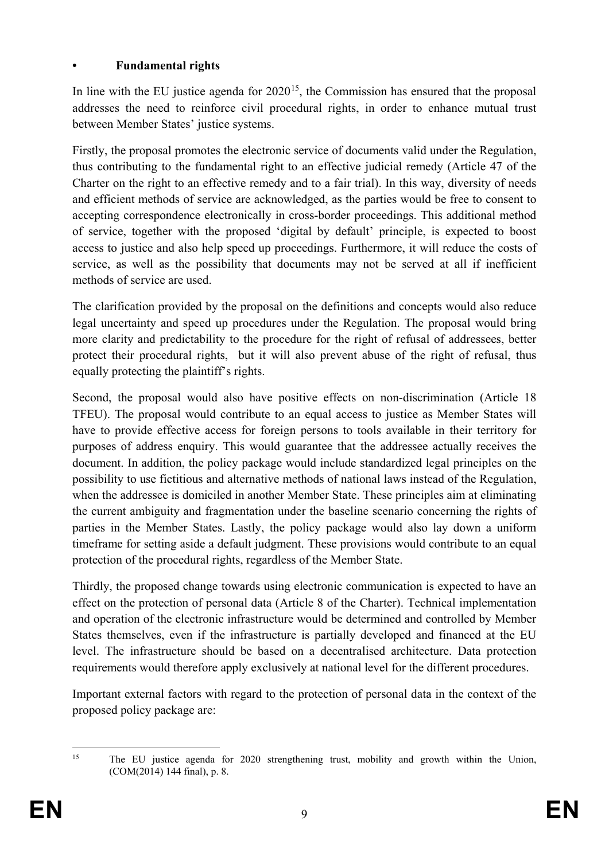### **• Fundamental rights**

In line with the EU justice agenda for  $2020<sup>15</sup>$ , the Commission has ensured that the proposal addresses the need to reinforce civil procedural rights, in order to enhance mutual trust between Member States' justice systems.

Firstly, the proposal promotes the electronic service of documents valid under the Regulation, thus contributing to the fundamental right to an effective judicial remedy (Article 47 of the Charter on the right to an effective remedy and to a fair trial). In this way, diversity of needs and efficient methods of service are acknowledged, as the parties would be free to consent to accepting correspondence electronically in cross-border proceedings. This additional method of service, together with the proposed 'digital by default' principle, is expected to boost access to justice and also help speed up proceedings. Furthermore, it will reduce the costs of service, as well as the possibility that documents may not be served at all if inefficient methods of service are used.

The clarification provided by the proposal on the definitions and concepts would also reduce legal uncertainty and speed up procedures under the Regulation. The proposal would bring more clarity and predictability to the procedure for the right of refusal of addressees, better protect their procedural rights, but it will also prevent abuse of the right of refusal, thus equally protecting the plaintiff's rights.

Second, the proposal would also have positive effects on non-discrimination (Article 18 TFEU). The proposal would contribute to an equal access to justice as Member States will have to provide effective access for foreign persons to tools available in their territory for purposes of address enquiry. This would guarantee that the addressee actually receives the document. In addition, the policy package would include standardized legal principles on the possibility to use fictitious and alternative methods of national laws instead of the Regulation, when the addressee is domiciled in another Member State. These principles aim at eliminating the current ambiguity and fragmentation under the baseline scenario concerning the rights of parties in the Member States. Lastly, the policy package would also lay down a uniform timeframe for setting aside a default judgment. These provisions would contribute to an equal protection of the procedural rights, regardless of the Member State.

Thirdly, the proposed change towards using electronic communication is expected to have an effect on the protection of personal data (Article 8 of the Charter). Technical implementation and operation of the electronic infrastructure would be determined and controlled by Member States themselves, even if the infrastructure is partially developed and financed at the EU level. The infrastructure should be based on a decentralised architecture. Data protection requirements would therefore apply exclusively at national level for the different procedures.

Important external factors with regard to the protection of personal data in the context of the proposed policy package are:

<span id="page-10-0"></span><sup>&</sup>lt;sup>15</sup> The EU justice agenda for 2020 strengthening trust, mobility and growth within the Union, (COM(2014) 144 final), p. 8.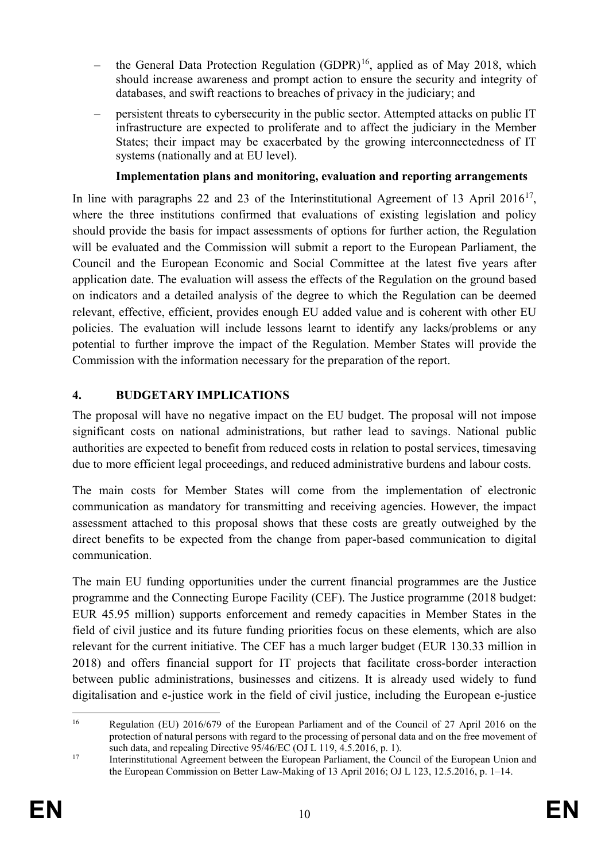- the General Data Protection Regulation  $(GDPR)^{16}$  $(GDPR)^{16}$  $(GDPR)^{16}$ , applied as of May 2018, which should increase awareness and prompt action to ensure the security and integrity of databases, and swift reactions to breaches of privacy in the judiciary; and
- persistent threats to cybersecurity in the public sector. Attempted attacks on public IT infrastructure are expected to proliferate and to affect the judiciary in the Member States; their impact may be exacerbated by the growing interconnectedness of IT systems (nationally and at EU level).

### **Implementation plans and monitoring, evaluation and reporting arrangements**

In line with paragraphs 22 and 23 of the Interinstitutional Agreement of 13 April 2016<sup>17</sup>, where the three institutions confirmed that evaluations of existing legislation and policy should provide the basis for impact assessments of options for further action, the Regulation will be evaluated and the Commission will submit a report to the European Parliament, the Council and the European Economic and Social Committee at the latest five years after application date. The evaluation will assess the effects of the Regulation on the ground based on indicators and a detailed analysis of the degree to which the Regulation can be deemed relevant, effective, efficient, provides enough EU added value and is coherent with other EU policies. The evaluation will include lessons learnt to identify any lacks/problems or any potential to further improve the impact of the Regulation. Member States will provide the Commission with the information necessary for the preparation of the report.

### **4. BUDGETARY IMPLICATIONS**

The proposal will have no negative impact on the EU budget. The proposal will not impose significant costs on national administrations, but rather lead to savings. National public authorities are expected to benefit from reduced costs in relation to postal services, timesaving due to more efficient legal proceedings, and reduced administrative burdens and labour costs.

The main costs for Member States will come from the implementation of electronic communication as mandatory for transmitting and receiving agencies. However, the impact assessment attached to this proposal shows that these costs are greatly outweighed by the direct benefits to be expected from the change from paper-based communication to digital communication.

The main EU funding opportunities under the current financial programmes are the Justice programme and the Connecting Europe Facility (CEF). The Justice programme (2018 budget: EUR 45.95 million) supports enforcement and remedy capacities in Member States in the field of civil justice and its future funding priorities focus on these elements, which are also relevant for the current initiative. The CEF has a much larger budget (EUR 130.33 million in 2018) and offers financial support for IT projects that facilitate cross-border interaction between public administrations, businesses and citizens. It is already used widely to fund digitalisation and e-justice work in the field of civil justice, including the European e-justice

<span id="page-11-0"></span><sup>&</sup>lt;sup>16</sup> Regulation (EU) 2016/679 of the European Parliament and of the Council of 27 April 2016 on the protection of natural persons with regard to the processing of personal data and on the free movement of such data, and repealing Directive  $95/46$ /EC (OJ L 119, 4.5.2016, p. 1).

<span id="page-11-1"></span><sup>&</sup>lt;sup>17</sup> Interinstitutional Agreement between the European Parliament, the Council of the European Union and the European Commission on Better Law-Making of 13 April 2016; OJ L 123, 12.5.2016, p. 1–14.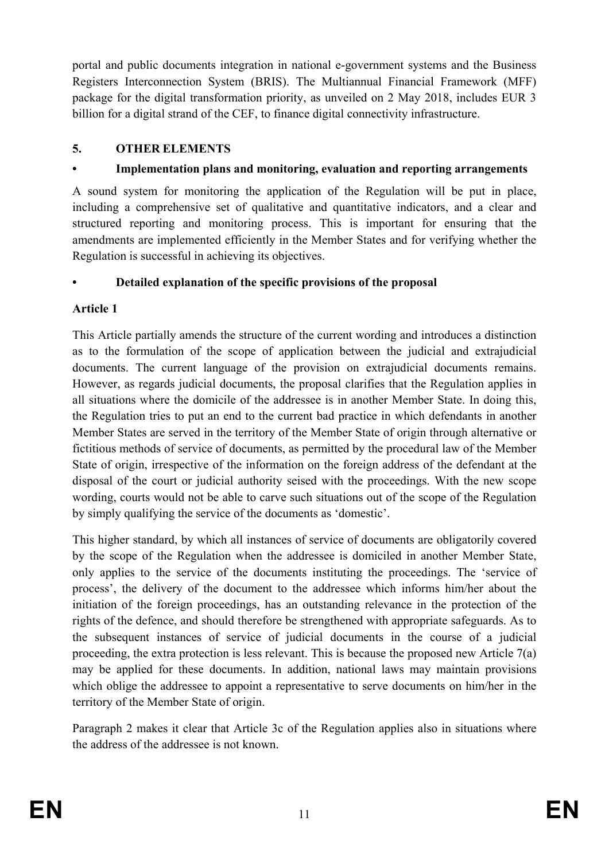portal and public documents integration in national e-government systems and the Business Registers Interconnection System (BRIS). The Multiannual Financial Framework (MFF) package for the digital transformation priority, as unveiled on 2 May 2018, includes EUR 3 billion for a digital strand of the CEF, to finance digital connectivity infrastructure.

### **5. OTHER ELEMENTS**

# **• Implementation plans and monitoring, evaluation and reporting arrangements**

A sound system for monitoring the application of the Regulation will be put in place, including a comprehensive set of qualitative and quantitative indicators, and a clear and structured reporting and monitoring process. This is important for ensuring that the amendments are implemented efficiently in the Member States and for verifying whether the Regulation is successful in achieving its objectives.

# **• Detailed explanation of the specific provisions of the proposal**

# **Article 1**

This Article partially amends the structure of the current wording and introduces a distinction as to the formulation of the scope of application between the judicial and extrajudicial documents. The current language of the provision on extrajudicial documents remains. However, as regards judicial documents, the proposal clarifies that the Regulation applies in all situations where the domicile of the addressee is in another Member State. In doing this, the Regulation tries to put an end to the current bad practice in which defendants in another Member States are served in the territory of the Member State of origin through alternative or fictitious methods of service of documents, as permitted by the procedural law of the Member State of origin, irrespective of the information on the foreign address of the defendant at the disposal of the court or judicial authority seised with the proceedings. With the new scope wording, courts would not be able to carve such situations out of the scope of the Regulation by simply qualifying the service of the documents as 'domestic'.

This higher standard, by which all instances of service of documents are obligatorily covered by the scope of the Regulation when the addressee is domiciled in another Member State, only applies to the service of the documents instituting the proceedings. The 'service of process', the delivery of the document to the addressee which informs him/her about the initiation of the foreign proceedings, has an outstanding relevance in the protection of the rights of the defence, and should therefore be strengthened with appropriate safeguards. As to the subsequent instances of service of judicial documents in the course of a judicial proceeding, the extra protection is less relevant. This is because the proposed new Article 7(a) may be applied for these documents. In addition, national laws may maintain provisions which oblige the addressee to appoint a representative to serve documents on him/her in the territory of the Member State of origin.

Paragraph 2 makes it clear that Article 3c of the Regulation applies also in situations where the address of the addressee is not known.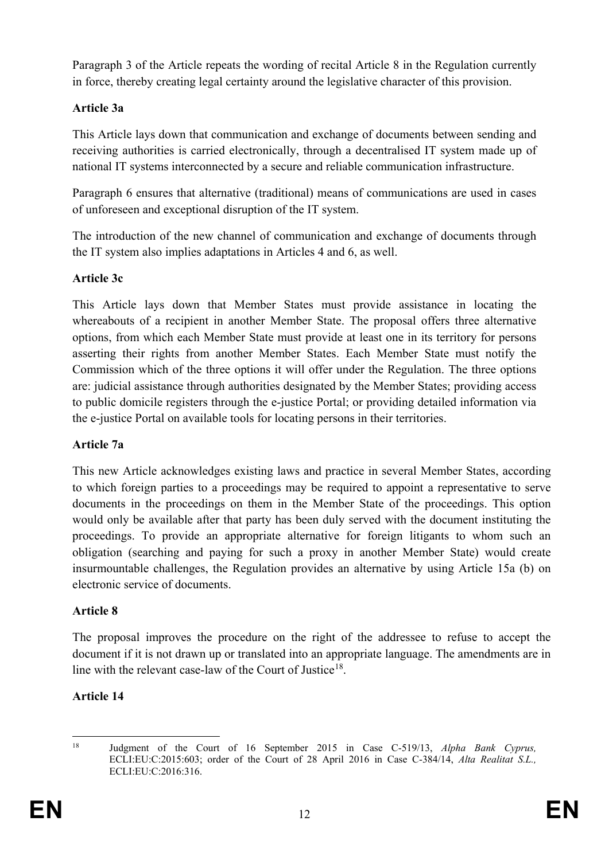Paragraph 3 of the Article repeats the wording of recital Article 8 in the Regulation currently in force, thereby creating legal certainty around the legislative character of this provision.

# **Article 3a**

This Article lays down that communication and exchange of documents between sending and receiving authorities is carried electronically, through a decentralised IT system made up of national IT systems interconnected by a secure and reliable communication infrastructure.

Paragraph 6 ensures that alternative (traditional) means of communications are used in cases of unforeseen and exceptional disruption of the IT system.

The introduction of the new channel of communication and exchange of documents through the IT system also implies adaptations in Articles 4 and 6, as well.

# **Article 3c**

This Article lays down that Member States must provide assistance in locating the whereabouts of a recipient in another Member State. The proposal offers three alternative options, from which each Member State must provide at least one in its territory for persons asserting their rights from another Member States. Each Member State must notify the Commission which of the three options it will offer under the Regulation. The three options are: judicial assistance through authorities designated by the Member States; providing access to public domicile registers through the e-justice Portal; or providing detailed information via the e-justice Portal on available tools for locating persons in their territories.

# **Article 7a**

This new Article acknowledges existing laws and practice in several Member States, according to which foreign parties to a proceedings may be required to appoint a representative to serve documents in the proceedings on them in the Member State of the proceedings. This option would only be available after that party has been duly served with the document instituting the proceedings. To provide an appropriate alternative for foreign litigants to whom such an obligation (searching and paying for such a proxy in another Member State) would create insurmountable challenges, the Regulation provides an alternative by using Article 15a (b) on electronic service of documents.

# **Article 8**

The proposal improves the procedure on the right of the addressee to refuse to accept the document if it is not drawn up or translated into an appropriate language. The amendments are in line with the relevant case-law of the Court of Justice<sup>18</sup>.

# **Article 14**

<span id="page-13-0"></span>

 <sup>18</sup> Judgment of the Court of 16 September 2015 in Case C-519/13, *Alpha Bank Cyprus,*  ECLI:EU:C:2015:603; order of the Court of 28 April 2016 in Case C-384/14, *Alta Realitat S.L.,*  ECLI:EU:C:2016:316.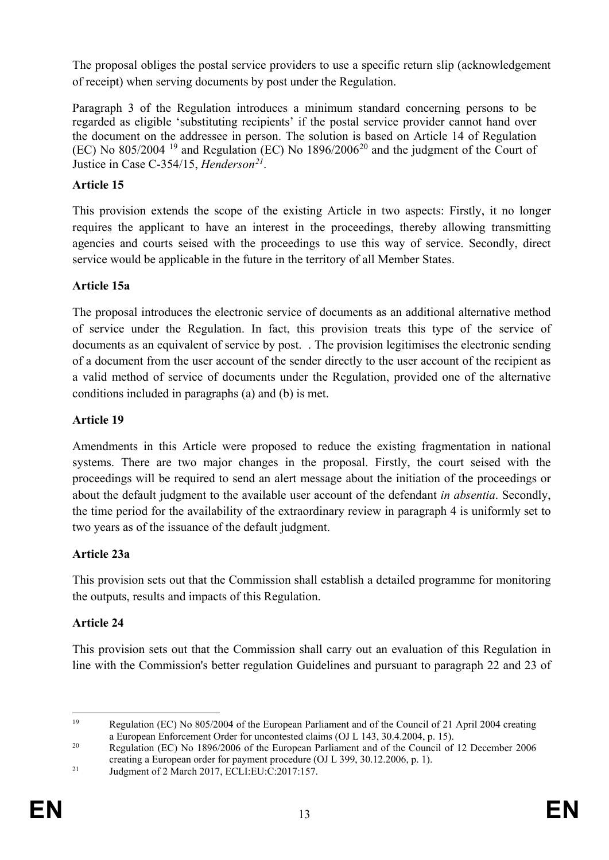The proposal obliges the postal service providers to use a specific return slip (acknowledgement of receipt) when serving documents by post under the Regulation.

Paragraph 3 of the Regulation introduces a minimum standard concerning persons to be regarded as eligible 'substituting recipients' if the postal service provider cannot hand over the document on the addressee in person. The solution is based on Article 14 of Regulation (EC) No 805/2004 [19](#page-14-0) and Regulation (EC) No 1896/2006[20](#page-14-1) and the judgment of the Court of Justice in Case C-354/15, *Henderson[21](#page-14-2)*.

# **Article 15**

This provision extends the scope of the existing Article in two aspects: Firstly, it no longer requires the applicant to have an interest in the proceedings, thereby allowing transmitting agencies and courts seised with the proceedings to use this way of service. Secondly, direct service would be applicable in the future in the territory of all Member States.

# **Article 15a**

The proposal introduces the electronic service of documents as an additional alternative method of service under the Regulation. In fact, this provision treats this type of the service of documents as an equivalent of service by post. . The provision legitimises the electronic sending of a document from the user account of the sender directly to the user account of the recipient as a valid method of service of documents under the Regulation, provided one of the alternative conditions included in paragraphs (a) and (b) is met.

# **Article 19**

Amendments in this Article were proposed to reduce the existing fragmentation in national systems. There are two major changes in the proposal. Firstly, the court seised with the proceedings will be required to send an alert message about the initiation of the proceedings or about the default judgment to the available user account of the defendant *in absentia*. Secondly, the time period for the availability of the extraordinary review in paragraph 4 is uniformly set to two years as of the issuance of the default judgment.

# **Article 23a**

This provision sets out that the Commission shall establish a detailed programme for monitoring the outputs, results and impacts of this Regulation.

# **Article 24**

This provision sets out that the Commission shall carry out an evaluation of this Regulation in line with the Commission's better regulation Guidelines and pursuant to paragraph 22 and 23 of

<span id="page-14-0"></span> <sup>19</sup> Regulation (EC) No 805/2004 of the European Parliament and of the Council of 21 April 2004 creating a European Enforcement Order for uncontested claims (OJ L 143, 30.4.2004, p. 15).

<span id="page-14-1"></span><sup>&</sup>lt;sup>20</sup> Regulation (EC) No 1896/2006 of the European Parliament and of the Council of 12 December 2006 creating a European order for payment procedure (OJ L 399, 30.12.2006, p. 1).

<span id="page-14-2"></span><sup>&</sup>lt;sup>21</sup> Judgment of 2 March 2017, ECLI:EU:C:2017:157.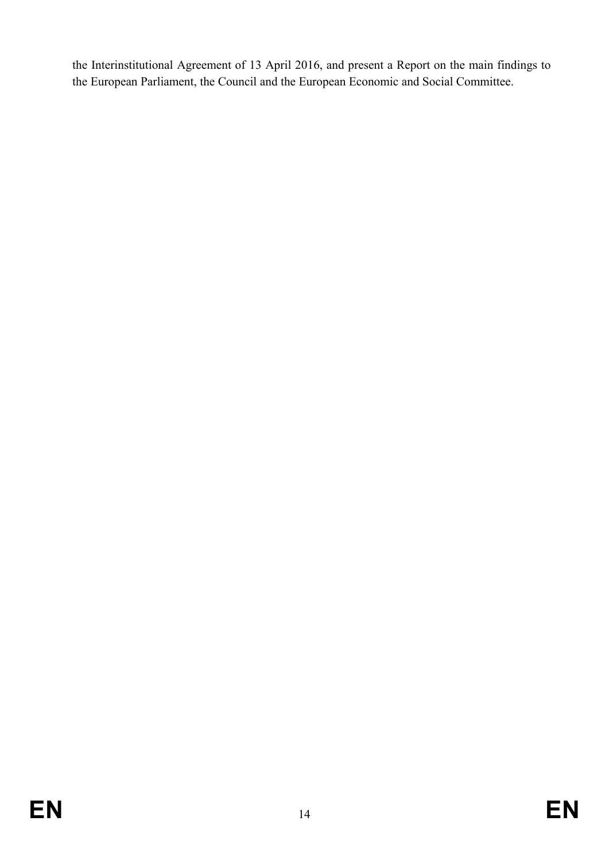the Interinstitutional Agreement of 13 April 2016, and present a Report on the main findings to the European Parliament, the Council and the European Economic and Social Committee.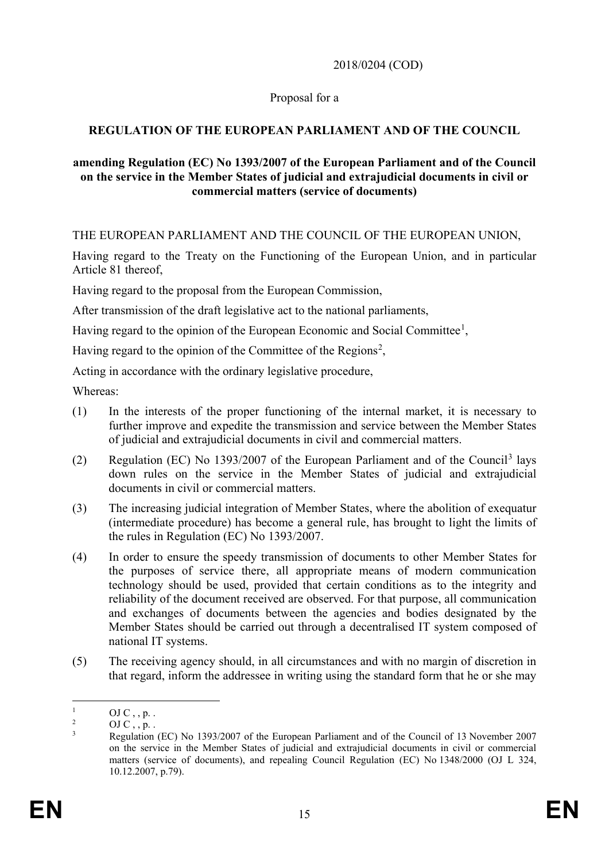### 2018/0204 (COD)

### Proposal for a

### **REGULATION OF THE EUROPEAN PARLIAMENT AND OF THE COUNCIL**

### **amending Regulation (EC) No 1393/2007 of the European Parliament and of the Council on the service in the Member States of judicial and extrajudicial documents in civil or commercial matters (service of documents)**

THE EUROPEAN PARLIAMENT AND THE COUNCIL OF THE EUROPEAN UNION,

Having regard to the Treaty on the Functioning of the European Union, and in particular Article 81 thereof,

Having regard to the proposal from the European Commission,

After transmission of the draft legislative act to the national parliaments,

Having regard to the opinion of the European Economic and Social Committee<sup>[1](#page-16-0)</sup>,

Having regard to the opinion of the Committee of the Regions<sup>[2](#page-16-1)</sup>,

Acting in accordance with the ordinary legislative procedure,

Whereas:

- (1) In the interests of the proper functioning of the internal market, it is necessary to further improve and expedite the transmission and service between the Member States of judicial and extrajudicial documents in civil and commercial matters.
- (2) Regulation (EC) No 1393/2007 of the European Parliament and of the Council[3](#page-16-2) lays down rules on the service in the Member States of judicial and extrajudicial documents in civil or commercial matters.
- (3) The increasing judicial integration of Member States, where the abolition of exequatur (intermediate procedure) has become a general rule, has brought to light the limits of the rules in Regulation (EC) No 1393/2007.
- (4) In order to ensure the speedy transmission of documents to other Member States for the purposes of service there, all appropriate means of modern communication technology should be used, provided that certain conditions as to the integrity and reliability of the document received are observed. For that purpose, all communication and exchanges of documents between the agencies and bodies designated by the Member States should be carried out through a decentralised IT system composed of national IT systems.
- (5) The receiving agency should, in all circumstances and with no margin of discretion in that regard, inform the addressee in writing using the standard form that he or she may

<span id="page-16-0"></span> $\frac{1}{2}$  OJ C, , p. .

 $\overline{O}$   $\overline{O}$   $\overline{O}$   $\overline{O}$   $\overline{O}$   $\overline{O}$   $\overline{O}$   $\overline{O}$   $\overline{O}$   $\overline{O}$   $\overline{O}$   $\overline{O}$   $\overline{O}$   $\overline{O}$   $\overline{O}$   $\overline{O}$   $\overline{O}$   $\overline{O}$   $\overline{O}$   $\overline{O}$   $\overline{O}$   $\overline{O}$   $\overline{O}$   $\overline{O}$   $\overline{$ 

<span id="page-16-2"></span><span id="page-16-1"></span><sup>3</sup> Regulation (EC) No 1393/2007 of the European Parliament and of the Council of 13 November 2007 on the service in the Member States of judicial and extrajudicial documents in civil or commercial matters (service of documents), and repealing Council Regulation (EC) No 1348/2000 (OJ L 324, 10.12.2007, p.79).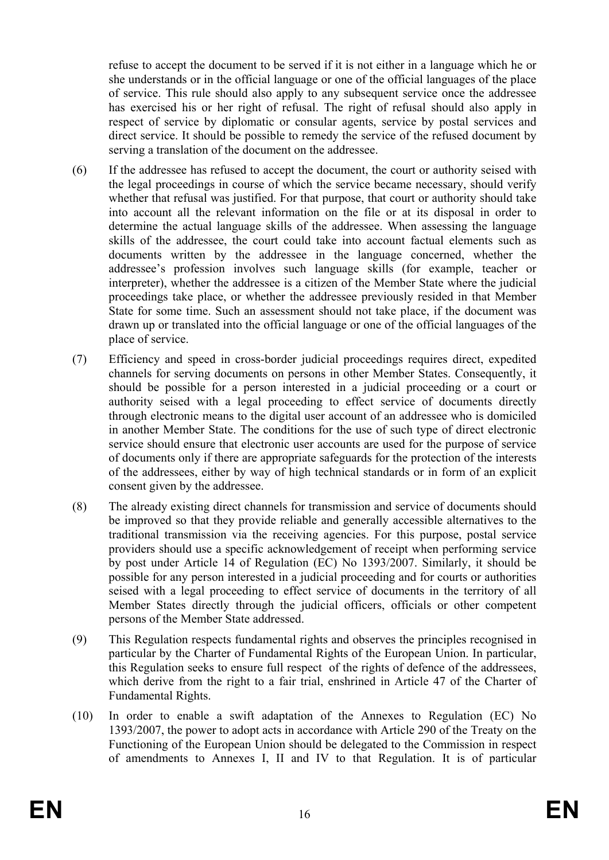refuse to accept the document to be served if it is not either in a language which he or she understands or in the official language or one of the official languages of the place of service. This rule should also apply to any subsequent service once the addressee has exercised his or her right of refusal. The right of refusal should also apply in respect of service by diplomatic or consular agents, service by postal services and direct service. It should be possible to remedy the service of the refused document by serving a translation of the document on the addressee.

- (6) If the addressee has refused to accept the document, the court or authority seised with the legal proceedings in course of which the service became necessary, should verify whether that refusal was justified. For that purpose, that court or authority should take into account all the relevant information on the file or at its disposal in order to determine the actual language skills of the addressee. When assessing the language skills of the addressee, the court could take into account factual elements such as documents written by the addressee in the language concerned, whether the addressee's profession involves such language skills (for example, teacher or interpreter), whether the addressee is a citizen of the Member State where the judicial proceedings take place, or whether the addressee previously resided in that Member State for some time. Such an assessment should not take place, if the document was drawn up or translated into the official language or one of the official languages of the place of service.
- (7) Efficiency and speed in cross-border judicial proceedings requires direct, expedited channels for serving documents on persons in other Member States. Consequently, it should be possible for a person interested in a judicial proceeding or a court or authority seised with a legal proceeding to effect service of documents directly through electronic means to the digital user account of an addressee who is domiciled in another Member State. The conditions for the use of such type of direct electronic service should ensure that electronic user accounts are used for the purpose of service of documents only if there are appropriate safeguards for the protection of the interests of the addressees, either by way of high technical standards or in form of an explicit consent given by the addressee.
- (8) The already existing direct channels for transmission and service of documents should be improved so that they provide reliable and generally accessible alternatives to the traditional transmission via the receiving agencies. For this purpose, postal service providers should use a specific acknowledgement of receipt when performing service by post under Article 14 of Regulation (EC) No 1393/2007. Similarly, it should be possible for any person interested in a judicial proceeding and for courts or authorities seised with a legal proceeding to effect service of documents in the territory of all Member States directly through the judicial officers, officials or other competent persons of the Member State addressed.
- (9) This Regulation respects fundamental rights and observes the principles recognised in particular by the Charter of Fundamental Rights of the European Union. In particular, this Regulation seeks to ensure full respect of the rights of defence of the addressees, which derive from the right to a fair trial, enshrined in Article 47 of the Charter of Fundamental Rights.
- (10) In order to enable a swift adaptation of the Annexes to Regulation (EC) No 1393/2007, the power to adopt acts in accordance with Article 290 of the Treaty on the Functioning of the European Union should be delegated to the Commission in respect of amendments to Annexes I, II and IV to that Regulation. It is of particular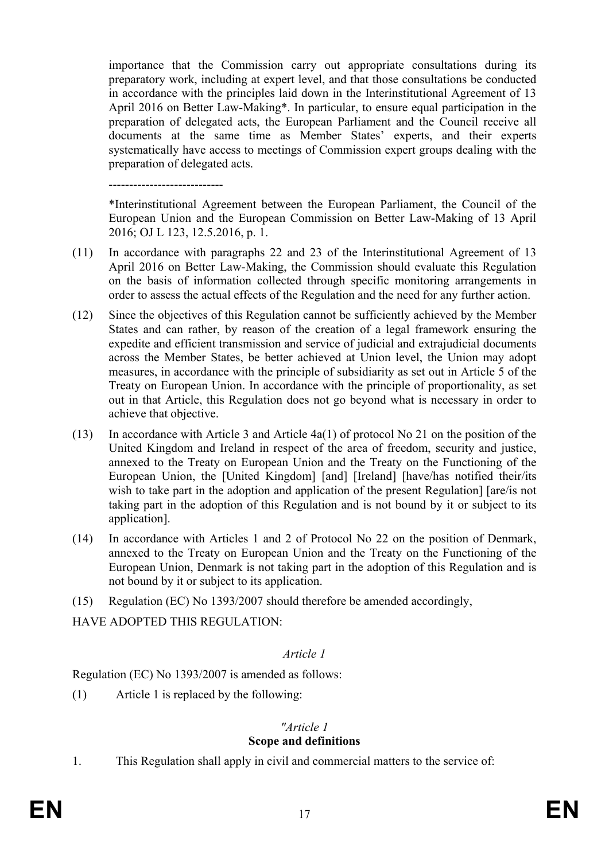importance that the Commission carry out appropriate consultations during its preparatory work, including at expert level, and that those consultations be conducted in accordance with the principles laid down in the Interinstitutional Agreement of 13 April 2016 on Better Law-Making\*. In particular, to ensure equal participation in the preparation of delegated acts, the European Parliament and the Council receive all documents at the same time as Member States' experts, and their experts systematically have access to meetings of Commission expert groups dealing with the preparation of delegated acts.

----------------------------

\*Interinstitutional Agreement between the European Parliament, the Council of the European Union and the European Commission on Better Law-Making of 13 April 2016; OJ L 123, 12.5.2016, p. 1.

- (11) In accordance with paragraphs 22 and 23 of the Interinstitutional Agreement of 13 April 2016 on Better Law-Making, the Commission should evaluate this Regulation on the basis of information collected through specific monitoring arrangements in order to assess the actual effects of the Regulation and the need for any further action.
- (12) Since the objectives of this Regulation cannot be sufficiently achieved by the Member States and can rather, by reason of the creation of a legal framework ensuring the expedite and efficient transmission and service of judicial and extrajudicial documents across the Member States, be better achieved at Union level, the Union may adopt measures, in accordance with the principle of subsidiarity as set out in Article 5 of the Treaty on European Union. In accordance with the principle of proportionality, as set out in that Article, this Regulation does not go beyond what is necessary in order to achieve that objective.
- (13) In accordance with Article 3 and Article 4a(1) of protocol No 21 on the position of the United Kingdom and Ireland in respect of the area of freedom, security and justice, annexed to the Treaty on European Union and the Treaty on the Functioning of the European Union, the [United Kingdom] [and] [Ireland] [have/has notified their/its wish to take part in the adoption and application of the present Regulation [ [are/is not taking part in the adoption of this Regulation and is not bound by it or subject to its application].
- (14) In accordance with Articles 1 and 2 of Protocol No 22 on the position of Denmark, annexed to the Treaty on European Union and the Treaty on the Functioning of the European Union, Denmark is not taking part in the adoption of this Regulation and is not bound by it or subject to its application.
- (15) Regulation (EC) No 1393/2007 should therefore be amended accordingly,

HAVE ADOPTED THIS REGULATION:

### *Article 1*

Regulation (EC) No 1393/2007 is amended as follows:

(1) Article 1 is replaced by the following:

#### *"Article 1* **Scope and definitions**

1. This Regulation shall apply in civil and commercial matters to the service of: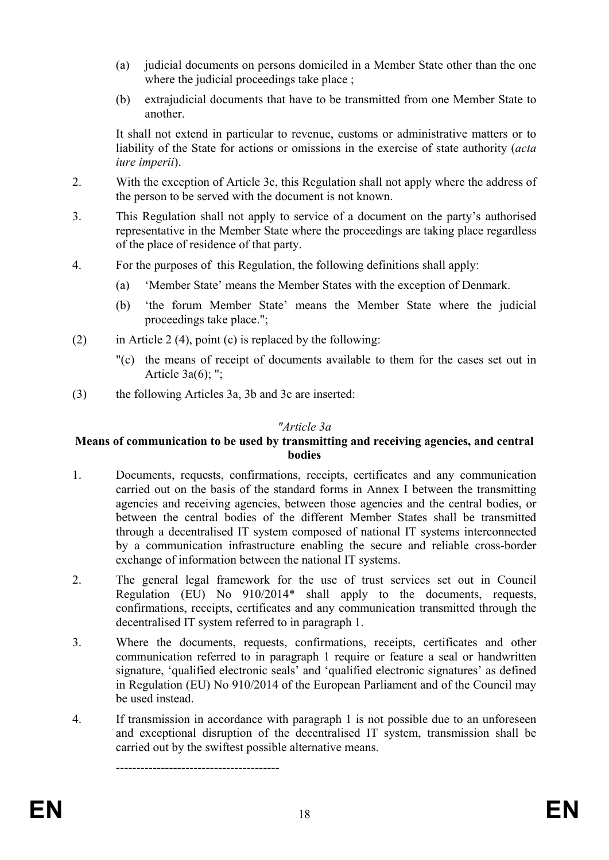- (a) judicial documents on persons domiciled in a Member State other than the one where the judicial proceedings take place ;
- (b) extrajudicial documents that have to be transmitted from one Member State to another.

It shall not extend in particular to revenue, customs or administrative matters or to liability of the State for actions or omissions in the exercise of state authority (*acta iure imperii*).

- 2. With the exception of Article 3c, this Regulation shall not apply where the address of the person to be served with the document is not known.
- 3. This Regulation shall not apply to service of a document on the party's authorised representative in the Member State where the proceedings are taking place regardless of the place of residence of that party.
- 4. For the purposes of this Regulation, the following definitions shall apply:
	- (a) 'Member State' means the Member States with the exception of Denmark.
	- (b) 'the forum Member State' means the Member State where the judicial proceedings take place.";
- (2) in Article 2 (4), point (c) is replaced by the following:
	- "(c) the means of receipt of documents available to them for the cases set out in Article  $3a(6)$ ; ";
- (3) the following Articles 3a, 3b and 3c are inserted:

----------------------------------------

#### *"Article 3a*

#### **Means of communication to be used by transmitting and receiving agencies, and central bodies**

- 1. Documents, requests, confirmations, receipts, certificates and any communication carried out on the basis of the standard forms in Annex I between the transmitting agencies and receiving agencies, between those agencies and the central bodies, or between the central bodies of the different Member States shall be transmitted through a decentralised IT system composed of national IT systems interconnected by a communication infrastructure enabling the secure and reliable cross-border exchange of information between the national IT systems.
- 2. The general legal framework for the use of trust services set out in Council Regulation (EU) No 910/2014\* shall apply to the documents, requests, confirmations, receipts, certificates and any communication transmitted through the decentralised IT system referred to in paragraph 1.
- 3. Where the documents, requests, confirmations, receipts, certificates and other communication referred to in paragraph 1 require or feature a seal or handwritten signature, 'qualified electronic seals' and 'qualified electronic signatures' as defined in Regulation (EU) No 910/2014 of the European Parliament and of the Council may be used instead.
- 4. If transmission in accordance with paragraph 1 is not possible due to an unforeseen and exceptional disruption of the decentralised IT system, transmission shall be carried out by the swiftest possible alternative means.

**EN** <sup>18</sup> **EN**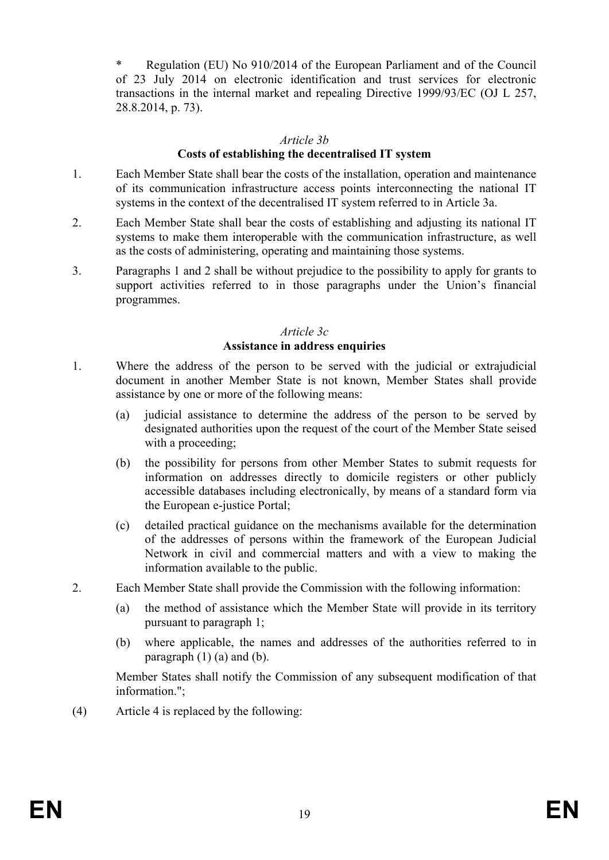Regulation (EU) No 910/2014 of the European Parliament and of the Council of 23 July 2014 on electronic identification and trust services for electronic transactions in the internal market and repealing Directive 1999/93/EC (OJ L 257, 28.8.2014, p. 73).

#### *Article 3b*

#### **Costs of establishing the decentralised IT system**

- 1. Each Member State shall bear the costs of the installation, operation and maintenance of its communication infrastructure access points interconnecting the national IT systems in the context of the decentralised IT system referred to in Article 3a.
- 2. Each Member State shall bear the costs of establishing and adjusting its national IT systems to make them interoperable with the communication infrastructure, as well as the costs of administering, operating and maintaining those systems.
- 3. Paragraphs 1 and 2 shall be without prejudice to the possibility to apply for grants to support activities referred to in those paragraphs under the Union's financial programmes.

### *Article 3c* **Assistance in address enquiries**

- 1. Where the address of the person to be served with the judicial or extrajudicial document in another Member State is not known, Member States shall provide assistance by one or more of the following means:
	- (a) judicial assistance to determine the address of the person to be served by designated authorities upon the request of the court of the Member State seised with a proceeding:
	- (b) the possibility for persons from other Member States to submit requests for information on addresses directly to domicile registers or other publicly accessible databases including electronically, by means of a standard form via the European e-justice Portal;
	- (c) detailed practical guidance on the mechanisms available for the determination of the addresses of persons within the framework of the European Judicial Network in civil and commercial matters and with a view to making the information available to the public.
- 2. Each Member State shall provide the Commission with the following information:
	- (a) the method of assistance which the Member State will provide in its territory pursuant to paragraph 1;
	- (b) where applicable, the names and addresses of the authorities referred to in paragraph  $(1)$   $(a)$  and  $(b)$ .

Member States shall notify the Commission of any subsequent modification of that information."

(4) Article 4 is replaced by the following: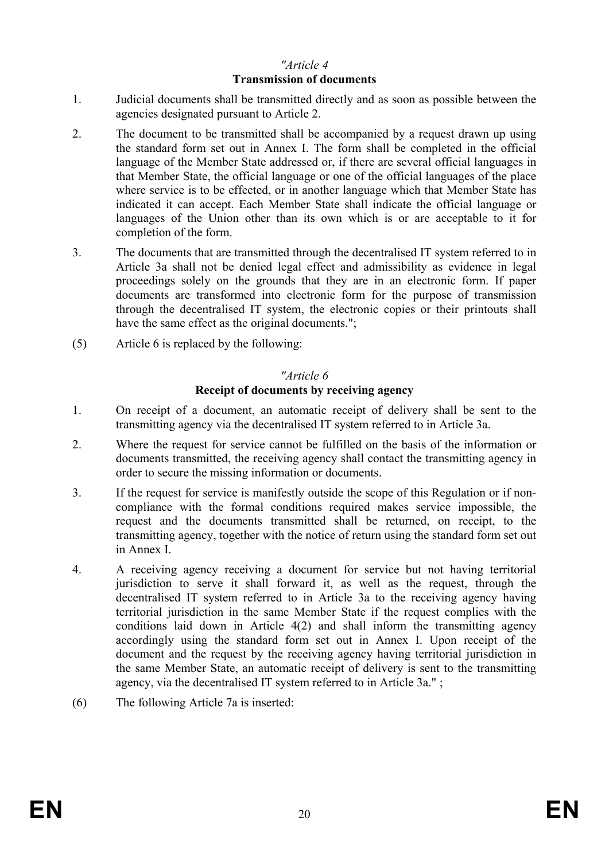### *"Article 4* **Transmission of documents**

- 1. Judicial documents shall be transmitted directly and as soon as possible between the agencies designated pursuant to Article 2.
- 2. The document to be transmitted shall be accompanied by a request drawn up using the standard form set out in Annex I. The form shall be completed in the official language of the Member State addressed or, if there are several official languages in that Member State, the official language or one of the official languages of the place where service is to be effected, or in another language which that Member State has indicated it can accept. Each Member State shall indicate the official language or languages of the Union other than its own which is or are acceptable to it for completion of the form.
- 3. The documents that are transmitted through the decentralised IT system referred to in Article 3a shall not be denied legal effect and admissibility as evidence in legal proceedings solely on the grounds that they are in an electronic form. If paper documents are transformed into electronic form for the purpose of transmission through the decentralised IT system, the electronic copies or their printouts shall have the same effect as the original documents.":
- (5) Article 6 is replaced by the following:

### *"Article 6*

#### **Receipt of documents by receiving agency**

- 1. On receipt of a document, an automatic receipt of delivery shall be sent to the transmitting agency via the decentralised IT system referred to in Article 3a.
- 2. Where the request for service cannot be fulfilled on the basis of the information or documents transmitted, the receiving agency shall contact the transmitting agency in order to secure the missing information or documents.
- 3. If the request for service is manifestly outside the scope of this Regulation or if noncompliance with the formal conditions required makes service impossible, the request and the documents transmitted shall be returned, on receipt, to the transmitting agency, together with the notice of return using the standard form set out in Annex I.
- 4. A receiving agency receiving a document for service but not having territorial jurisdiction to serve it shall forward it, as well as the request, through the decentralised IT system referred to in Article 3a to the receiving agency having territorial jurisdiction in the same Member State if the request complies with the conditions laid down in Article 4(2) and shall inform the transmitting agency accordingly using the standard form set out in Annex I. Upon receipt of the document and the request by the receiving agency having territorial jurisdiction in the same Member State, an automatic receipt of delivery is sent to the transmitting agency, via the decentralised IT system referred to in Article 3a." ;
- (6) The following Article 7a is inserted: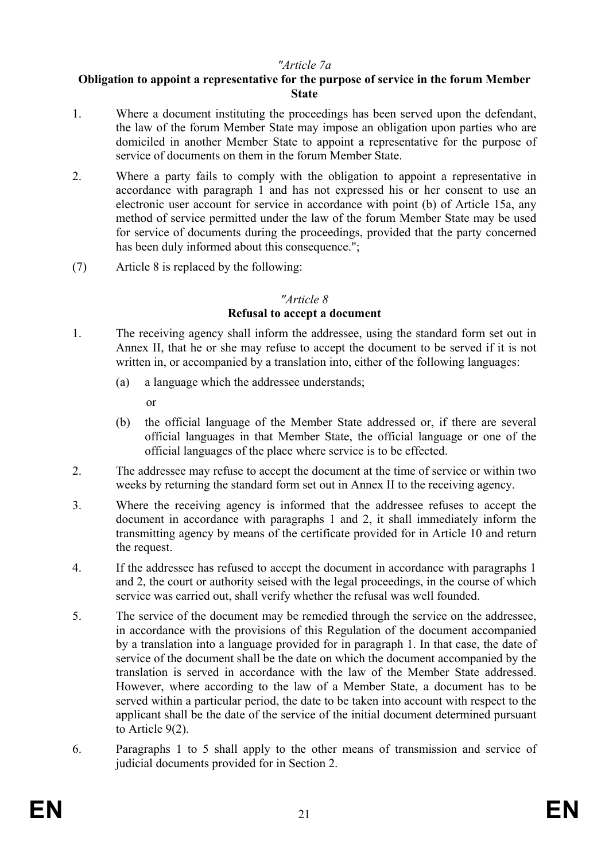### *"Article 7a*

#### **Obligation to appoint a representative for the purpose of service in the forum Member State**

- 1. Where a document instituting the proceedings has been served upon the defendant, the law of the forum Member State may impose an obligation upon parties who are domiciled in another Member State to appoint a representative for the purpose of service of documents on them in the forum Member State.
- 2. Where a party fails to comply with the obligation to appoint a representative in accordance with paragraph 1 and has not expressed his or her consent to use an electronic user account for service in accordance with point (b) of Article 15a, any method of service permitted under the law of the forum Member State may be used for service of documents during the proceedings, provided that the party concerned has been duly informed about this consequence.";
- (7) Article 8 is replaced by the following:

#### *"Article 8*

### **Refusal to accept a document**

- 1. The receiving agency shall inform the addressee, using the standard form set out in Annex II, that he or she may refuse to accept the document to be served if it is not written in, or accompanied by a translation into, either of the following languages:
	- (a) a language which the addressee understands;

or

- (b) the official language of the Member State addressed or, if there are several official languages in that Member State, the official language or one of the official languages of the place where service is to be effected.
- 2. The addressee may refuse to accept the document at the time of service or within two weeks by returning the standard form set out in Annex II to the receiving agency.
- 3. Where the receiving agency is informed that the addressee refuses to accept the document in accordance with paragraphs 1 and 2, it shall immediately inform the transmitting agency by means of the certificate provided for in Article 10 and return the request.
- 4. If the addressee has refused to accept the document in accordance with paragraphs 1 and 2, the court or authority seised with the legal proceedings, in the course of which service was carried out, shall verify whether the refusal was well founded.
- 5. The service of the document may be remedied through the service on the addressee, in accordance with the provisions of this Regulation of the document accompanied by a translation into a language provided for in paragraph 1. In that case, the date of service of the document shall be the date on which the document accompanied by the translation is served in accordance with the law of the Member State addressed. However, where according to the law of a Member State, a document has to be served within a particular period, the date to be taken into account with respect to the applicant shall be the date of the service of the initial document determined pursuant to Article 9(2).
- 6. Paragraphs 1 to 5 shall apply to the other means of transmission and service of judicial documents provided for in Section 2.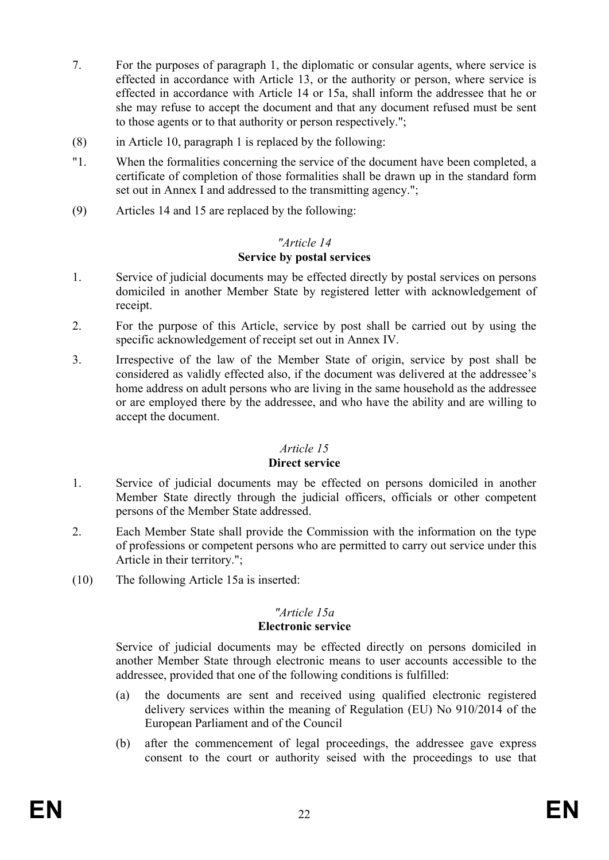- 7. For the purposes of paragraph 1, the diplomatic or consular agents, where service is effected in accordance with Article 13, or the authority or person, where service is effected in accordance with Article 14 or 15a, shall inform the addressee that he or she may refuse to accept the document and that any document refused must be sent to those agents or to that authority or person respectively.";
- (8) in Article 10, paragraph 1 is replaced by the following:
- "1. When the formalities concerning the service of the document have been completed, a certificate of completion of those formalities shall be drawn up in the standard form set out in Annex I and addressed to the transmitting agency.";
- (9) Articles 14 and 15 are replaced by the following:

#### *"Article 14* **Service by postal services**

- 1. Service of judicial documents may be effected directly by postal services on persons domiciled in another Member State by registered letter with acknowledgement of receipt.
- 2. For the purpose of this Article, service by post shall be carried out by using the specific acknowledgement of receipt set out in Annex IV.
- 3. Irrespective of the law of the Member State of origin, service by post shall be considered as validly effected also, if the document was delivered at the addressee's home address on adult persons who are living in the same household as the addressee or are employed there by the addressee, and who have the ability and are willing to accept the document.

### *Article 15*

#### **Direct service**

- 1. Service of judicial documents may be effected on persons domiciled in another Member State directly through the judicial officers, officials or other competent persons of the Member State addressed.
- 2. Each Member State shall provide the Commission with the information on the type of professions or competent persons who are permitted to carry out service under this Article in their territory.";
- (10) The following Article 15a is inserted:

# *"Article 15a*

### **Electronic service**

Service of judicial documents may be effected directly on persons domiciled in another Member State through electronic means to user accounts accessible to the addressee, provided that one of the following conditions is fulfilled:

- (a) the documents are sent and received using qualified electronic registered delivery services within the meaning of Regulation (EU) No 910/2014 of the European Parliament and of the Council
- (b) after the commencement of legal proceedings, the addressee gave express consent to the court or authority seised with the proceedings to use that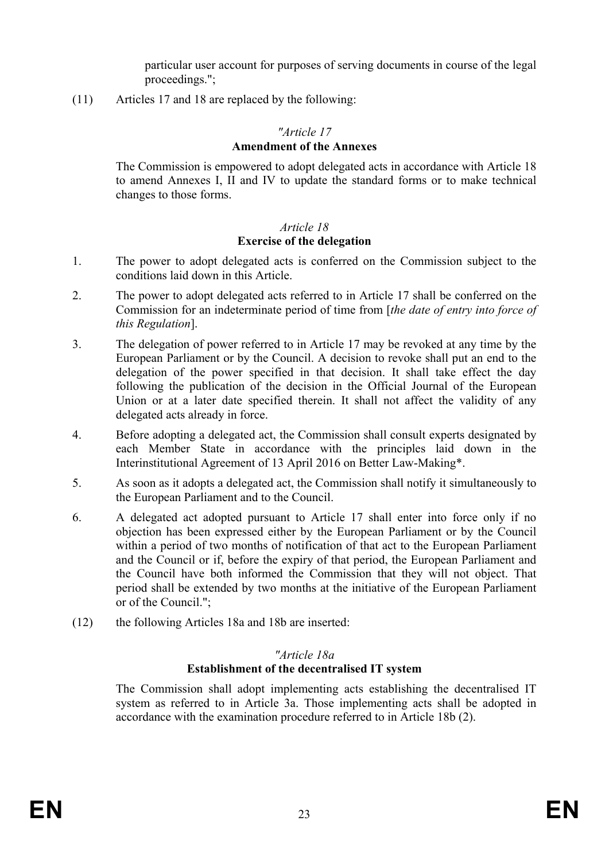particular user account for purposes of serving documents in course of the legal proceedings.";

(11) Articles 17 and 18 are replaced by the following:

### *"Article 17*

#### **Amendment of the Annexes**

The Commission is empowered to adopt delegated acts in accordance with Article 18 to amend Annexes I, II and IV to update the standard forms or to make technical changes to those forms.

# *Article 18*

### **Exercise of the delegation**

- 1. The power to adopt delegated acts is conferred on the Commission subject to the conditions laid down in this Article.
- 2. The power to adopt delegated acts referred to in Article 17 shall be conferred on the Commission for an indeterminate period of time from [*the date of entry into force of this Regulation*].
- 3. The delegation of power referred to in Article 17 may be revoked at any time by the European Parliament or by the Council. A decision to revoke shall put an end to the delegation of the power specified in that decision. It shall take effect the day following the publication of the decision in the Official Journal of the European Union or at a later date specified therein. It shall not affect the validity of any delegated acts already in force.
- 4. Before adopting a delegated act, the Commission shall consult experts designated by each Member State in accordance with the principles laid down in the Interinstitutional Agreement of 13 April 2016 on Better Law-Making\*.
- 5. As soon as it adopts a delegated act, the Commission shall notify it simultaneously to the European Parliament and to the Council.
- 6. A delegated act adopted pursuant to Article 17 shall enter into force only if no objection has been expressed either by the European Parliament or by the Council within a period of two months of notification of that act to the European Parliament and the Council or if, before the expiry of that period, the European Parliament and the Council have both informed the Commission that they will not object. That period shall be extended by two months at the initiative of the European Parliament or of the Council.";
- (12) the following Articles 18a and 18b are inserted:

#### *"Article 18a* **Establishment of the decentralised IT system**

The Commission shall adopt implementing acts establishing the decentralised IT system as referred to in Article 3a. Those implementing acts shall be adopted in accordance with the examination procedure referred to in Article 18b (2).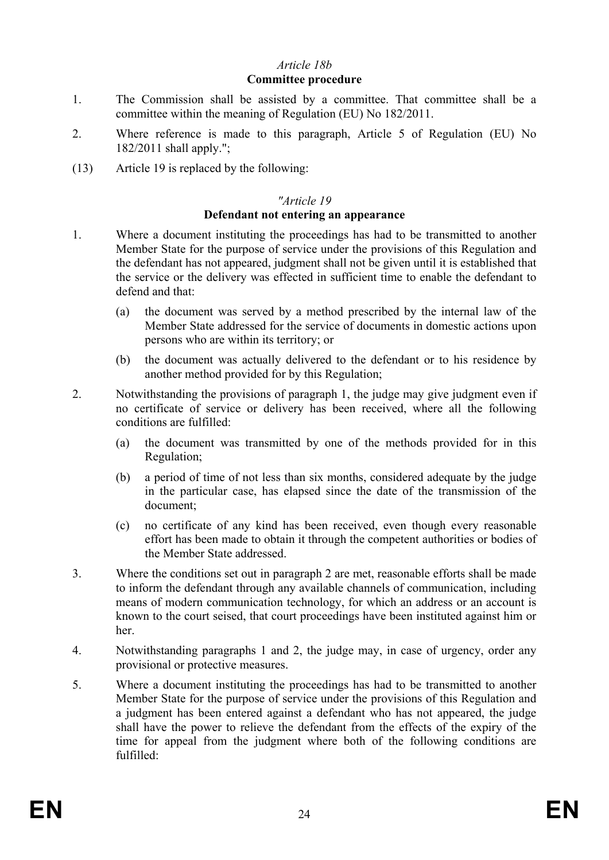### *Article 18b*

#### **Committee procedure**

- 1. The Commission shall be assisted by a committee. That committee shall be a committee within the meaning of Regulation (EU) No 182/2011.
- 2. Where reference is made to this paragraph, Article 5 of Regulation (EU) No 182/2011 shall apply.";
- (13) Article 19 is replaced by the following:

#### *"Article 19*

#### **Defendant not entering an appearance**

- 1. Where a document instituting the proceedings has had to be transmitted to another Member State for the purpose of service under the provisions of this Regulation and the defendant has not appeared, judgment shall not be given until it is established that the service or the delivery was effected in sufficient time to enable the defendant to defend and that:
	- (a) the document was served by a method prescribed by the internal law of the Member State addressed for the service of documents in domestic actions upon persons who are within its territory; or
	- (b) the document was actually delivered to the defendant or to his residence by another method provided for by this Regulation;
- 2. Notwithstanding the provisions of paragraph 1, the judge may give judgment even if no certificate of service or delivery has been received, where all the following conditions are fulfilled:
	- (a) the document was transmitted by one of the methods provided for in this Regulation;
	- (b) a period of time of not less than six months, considered adequate by the judge in the particular case, has elapsed since the date of the transmission of the document;
	- (c) no certificate of any kind has been received, even though every reasonable effort has been made to obtain it through the competent authorities or bodies of the Member State addressed.
- 3. Where the conditions set out in paragraph 2 are met, reasonable efforts shall be made to inform the defendant through any available channels of communication, including means of modern communication technology, for which an address or an account is known to the court seised, that court proceedings have been instituted against him or her.
- 4. Notwithstanding paragraphs 1 and 2, the judge may, in case of urgency, order any provisional or protective measures.
- 5. Where a document instituting the proceedings has had to be transmitted to another Member State for the purpose of service under the provisions of this Regulation and a judgment has been entered against a defendant who has not appeared, the judge shall have the power to relieve the defendant from the effects of the expiry of the time for appeal from the judgment where both of the following conditions are fulfilled: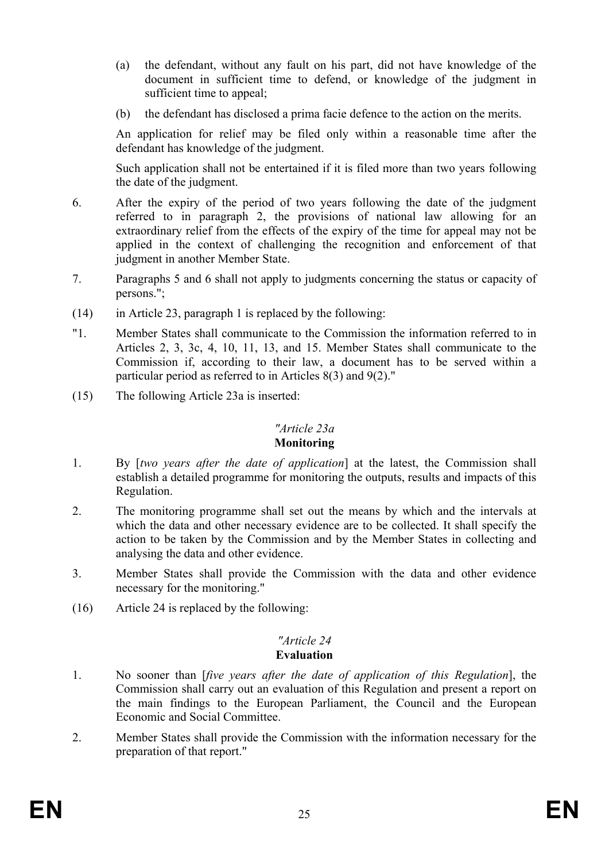- (a) the defendant, without any fault on his part, did not have knowledge of the document in sufficient time to defend, or knowledge of the judgment in sufficient time to appeal;
- (b) the defendant has disclosed a prima facie defence to the action on the merits.

An application for relief may be filed only within a reasonable time after the defendant has knowledge of the judgment.

Such application shall not be entertained if it is filed more than two years following the date of the judgment.

- 6. After the expiry of the period of two years following the date of the judgment referred to in paragraph 2, the provisions of national law allowing for an extraordinary relief from the effects of the expiry of the time for appeal may not be applied in the context of challenging the recognition and enforcement of that judgment in another Member State.
- 7. Paragraphs 5 and 6 shall not apply to judgments concerning the status or capacity of persons.";
- (14) in Article 23, paragraph 1 is replaced by the following:
- "1. Member States shall communicate to the Commission the information referred to in Articles 2, 3, 3c, 4, 10, 11, 13, and 15. Member States shall communicate to the Commission if, according to their law, a document has to be served within a particular period as referred to in Articles 8(3) and 9(2)."
- (15) The following Article 23a is inserted:

### *"Article 23a*

#### **Monitoring**

- 1. By [*two years after the date of application*] at the latest, the Commission shall establish a detailed programme for monitoring the outputs, results and impacts of this Regulation.
- 2. The monitoring programme shall set out the means by which and the intervals at which the data and other necessary evidence are to be collected. It shall specify the action to be taken by the Commission and by the Member States in collecting and analysing the data and other evidence.
- 3. Member States shall provide the Commission with the data and other evidence necessary for the monitoring."
- (16) Article 24 is replaced by the following:

#### *"Article 24*  **Evaluation**

- 1. No sooner than [*five years after the date of application of this Regulation*], the Commission shall carry out an evaluation of this Regulation and present a report on the main findings to the European Parliament, the Council and the European Economic and Social Committee.
- 2. Member States shall provide the Commission with the information necessary for the preparation of that report."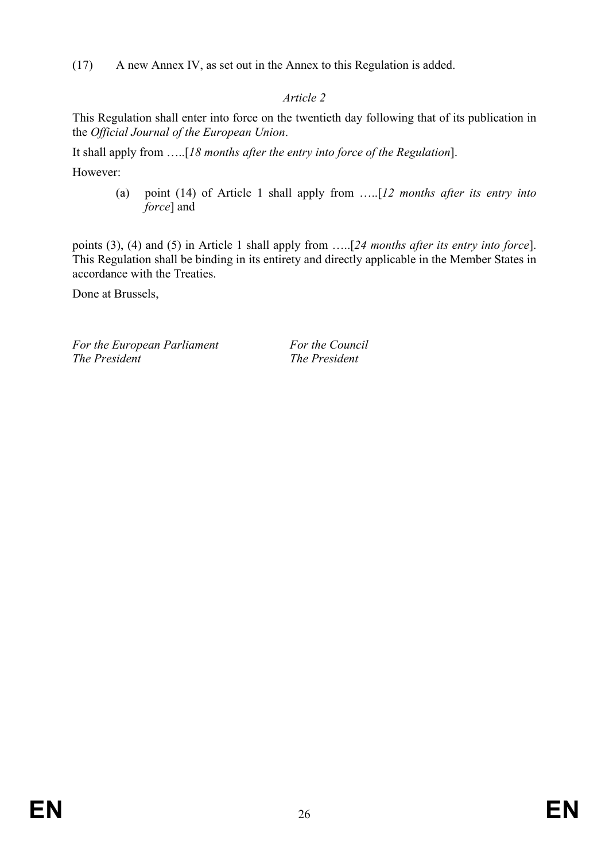(17) A new Annex IV, as set out in the Annex to this Regulation is added.

# *Article 2*

This Regulation shall enter into force on the twentieth day following that of its publication in the *Official Journal of the European Union*.

It shall apply from …..[*18 months after the entry into force of the Regulation*].

However:

(a) point (14) of Article 1 shall apply from …..[*12 months after its entry into force*] and

points (3), (4) and (5) in Article 1 shall apply from …..[*24 months after its entry into force*]. This Regulation shall be binding in its entirety and directly applicable in the Member States in accordance with the Treaties.

Done at Brussels,

*For the European Parliament For the Council The President The President*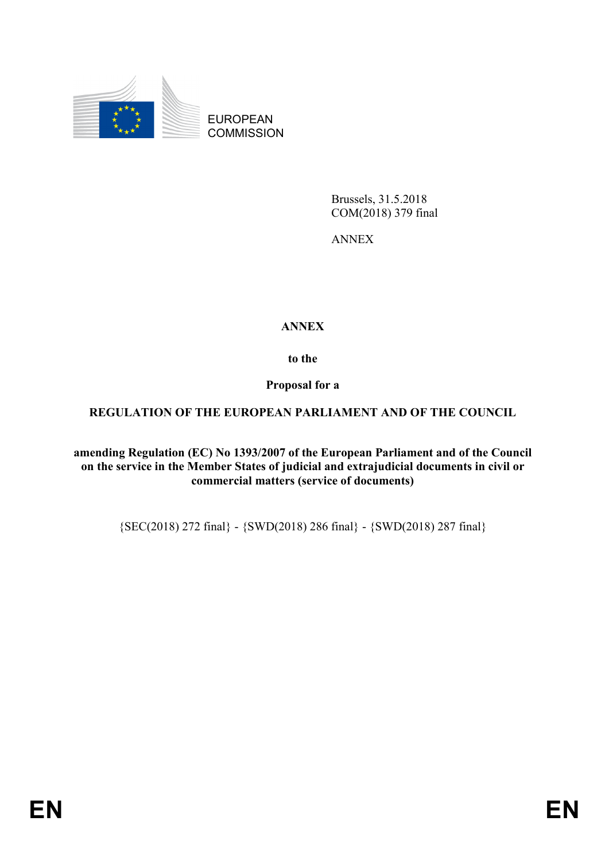

EUROPEAN **COMMISSION** 

> Brussels, 31.5.2018 COM(2018) 379 final

ANNEX

# **ANNEX**

**to the**

**Proposal for a**

# **REGULATION OF THE EUROPEAN PARLIAMENT AND OF THE COUNCIL**

**amending Regulation (EC) No 1393/2007 of the European Parliament and of the Council on the service in the Member States of judicial and extrajudicial documents in civil or commercial matters (service of documents)**

{SEC(2018) 272 final} - {SWD(2018) 286 final} - {SWD(2018) 287 final}